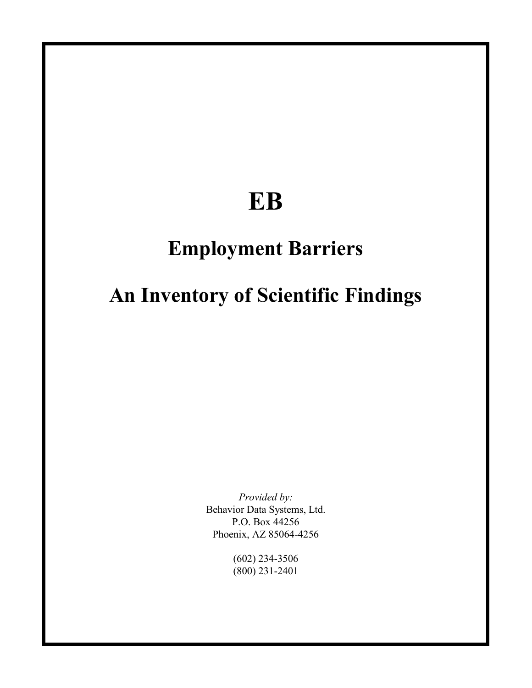# **EB**

# **Employment Barriers**

# **An Inventory of Scientific Findings**

*Provided by:*  Behavior Data Systems, Ltd. P.O. Box 44256 Phoenix, AZ 85064-4256

> (602) 234-3506 (800) 231-2401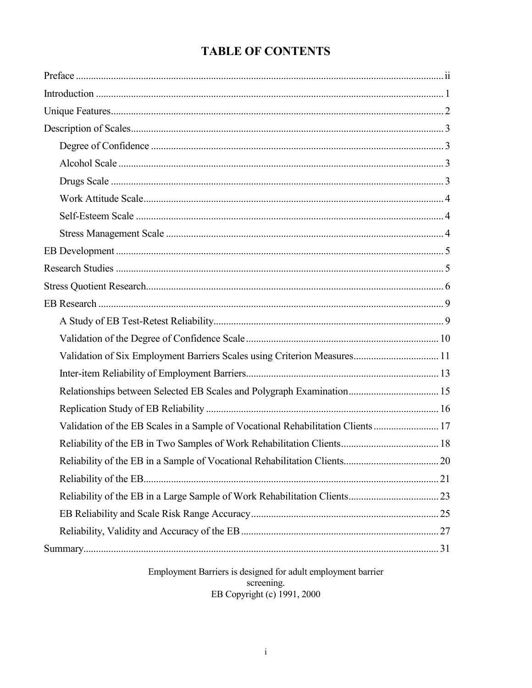# **TABLE OF CONTENTS**

| Validation of Six Employment Barriers Scales using Criterion Measures 11         |  |
|----------------------------------------------------------------------------------|--|
|                                                                                  |  |
|                                                                                  |  |
|                                                                                  |  |
| Validation of the EB Scales in a Sample of Vocational Rehabilitation Clients  17 |  |
|                                                                                  |  |
|                                                                                  |  |
|                                                                                  |  |
|                                                                                  |  |
|                                                                                  |  |
|                                                                                  |  |
|                                                                                  |  |
|                                                                                  |  |

Employment Barriers is designed for adult employment barrier screening.<br>
EB Copyright (c) 1991, 2000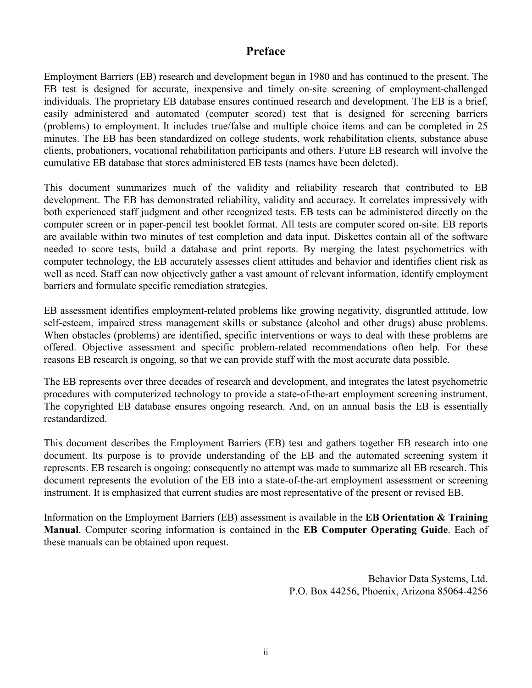# **Preface**

Employment Barriers (EB) research and development began in 1980 and has continued to the present. The EB test is designed for accurate, inexpensive and timely on-site screening of employment-challenged individuals. The proprietary EB database ensures continued research and development. The EB is a brief, easily administered and automated (computer scored) test that is designed for screening barriers (problems) to employment. It includes true/false and multiple choice items and can be completed in 25 minutes. The EB has been standardized on college students, work rehabilitation clients, substance abuse clients, probationers, vocational rehabilitation participants and others. Future EB research will involve the cumulative EB database that stores administered EB tests (names have been deleted).

This document summarizes much of the validity and reliability research that contributed to EB development. The EB has demonstrated reliability, validity and accuracy. It correlates impressively with both experienced staff judgment and other recognized tests. EB tests can be administered directly on the computer screen or in paper-pencil test booklet format. All tests are computer scored on-site. EB reports are available within two minutes of test completion and data input. Diskettes contain all of the software needed to score tests, build a database and print reports. By merging the latest psychometrics with computer technology, the EB accurately assesses client attitudes and behavior and identifies client risk as well as need. Staff can now objectively gather a vast amount of relevant information, identify employment barriers and formulate specific remediation strategies.

EB assessment identifies employment-related problems like growing negativity, disgruntled attitude, low self-esteem, impaired stress management skills or substance (alcohol and other drugs) abuse problems. When obstacles (problems) are identified, specific interventions or ways to deal with these problems are offered. Objective assessment and specific problem-related recommendations often help. For these reasons EB research is ongoing, so that we can provide staff with the most accurate data possible.

The EB represents over three decades of research and development, and integrates the latest psychometric procedures with computerized technology to provide a state-of-the-art employment screening instrument. The copyrighted EB database ensures ongoing research. And, on an annual basis the EB is essentially restandardized.

This document describes the Employment Barriers (EB) test and gathers together EB research into one document. Its purpose is to provide understanding of the EB and the automated screening system it represents. EB research is ongoing; consequently no attempt was made to summarize all EB research. This document represents the evolution of the EB into a state-of-the-art employment assessment or screening instrument. It is emphasized that current studies are most representative of the present or revised EB.

Information on the Employment Barriers (EB) assessment is available in the **EB Orientation & Training Manual**. Computer scoring information is contained in the **EB Computer Operating Guide**. Each of these manuals can be obtained upon request.

> Behavior Data Systems, Ltd. P.O. Box 44256, Phoenix, Arizona 85064-4256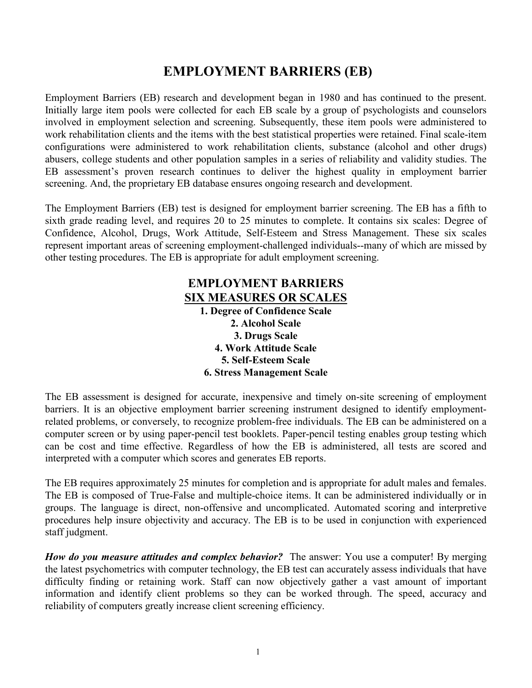# **EMPLOYMENT BARRIERS (EB)**

Employment Barriers (EB) research and development began in 1980 and has continued to the present. Initially large item pools were collected for each EB scale by a group of psychologists and counselors involved in employment selection and screening. Subsequently, these item pools were administered to work rehabilitation clients and the items with the best statistical properties were retained. Final scale-item configurations were administered to work rehabilitation clients, substance (alcohol and other drugs) abusers, college students and other population samples in a series of reliability and validity studies. The EB assessment's proven research continues to deliver the highest quality in employment barrier screening. And, the proprietary EB database ensures ongoing research and development.

The Employment Barriers (EB) test is designed for employment barrier screening. The EB has a fifth to sixth grade reading level, and requires 20 to 25 minutes to complete. It contains six scales: Degree of Confidence, Alcohol, Drugs, Work Attitude, Self-Esteem and Stress Management. These six scales represent important areas of screening employment-challenged individuals--many of which are missed by other testing procedures. The EB is appropriate for adult employment screening.

# **EMPLOYMENT BARRIERS SIX MEASURES OR SCALES**

**1. Degree of Confidence Scale 2. Alcohol Scale 3. Drugs Scale 4. Work Attitude Scale 5. Self-Esteem Scale 6. Stress Management Scale** 

The EB assessment is designed for accurate, inexpensive and timely on-site screening of employment barriers. It is an objective employment barrier screening instrument designed to identify employmentrelated problems, or conversely, to recognize problem-free individuals. The EB can be administered on a computer screen or by using paper-pencil test booklets. Paper-pencil testing enables group testing which can be cost and time effective. Regardless of how the EB is administered, all tests are scored and interpreted with a computer which scores and generates EB reports.

The EB requires approximately 25 minutes for completion and is appropriate for adult males and females. The EB is composed of True-False and multiple-choice items. It can be administered individually or in groups. The language is direct, non-offensive and uncomplicated. Automated scoring and interpretive procedures help insure objectivity and accuracy. The EB is to be used in conjunction with experienced staff judgment.

*How do you measure attitudes and complex behavior?* The answer: You use a computer! By merging the latest psychometrics with computer technology, the EB test can accurately assess individuals that have difficulty finding or retaining work. Staff can now objectively gather a vast amount of important information and identify client problems so they can be worked through. The speed, accuracy and reliability of computers greatly increase client screening efficiency.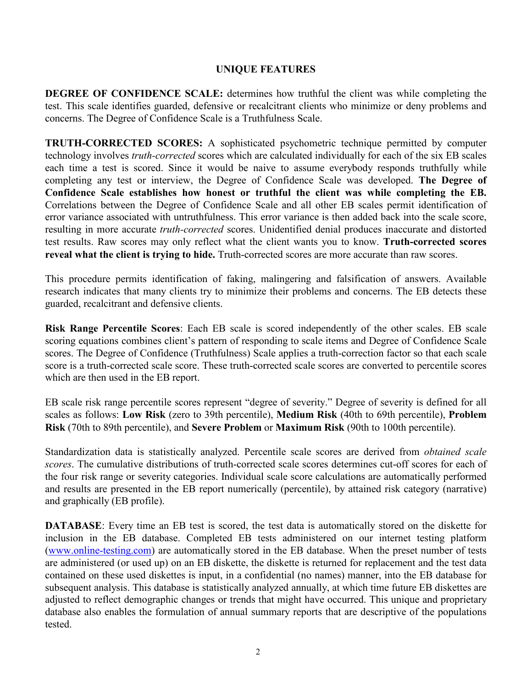## **UNIQUE FEATURES**

**DEGREE OF CONFIDENCE SCALE:** determines how truthful the client was while completing the test. This scale identifies guarded, defensive or recalcitrant clients who minimize or deny problems and concerns. The Degree of Confidence Scale is a Truthfulness Scale.

**TRUTH-CORRECTED SCORES:** A sophisticated psychometric technique permitted by computer technology involves *truth-corrected* scores which are calculated individually for each of the six EB scales each time a test is scored. Since it would be naive to assume everybody responds truthfully while completing any test or interview, the Degree of Confidence Scale was developed. **The Degree of Confidence Scale establishes how honest or truthful the client was while completing the EB.** Correlations between the Degree of Confidence Scale and all other EB scales permit identification of error variance associated with untruthfulness. This error variance is then added back into the scale score, resulting in more accurate *truth-corrected* scores. Unidentified denial produces inaccurate and distorted test results. Raw scores may only reflect what the client wants you to know. **Truth-corrected scores reveal what the client is trying to hide.** Truth-corrected scores are more accurate than raw scores.

This procedure permits identification of faking, malingering and falsification of answers. Available research indicates that many clients try to minimize their problems and concerns. The EB detects these guarded, recalcitrant and defensive clients.

**Risk Range Percentile Scores**: Each EB scale is scored independently of the other scales. EB scale scoring equations combines client's pattern of responding to scale items and Degree of Confidence Scale scores. The Degree of Confidence (Truthfulness) Scale applies a truth-correction factor so that each scale score is a truth-corrected scale score. These truth-corrected scale scores are converted to percentile scores which are then used in the EB report.

EB scale risk range percentile scores represent "degree of severity." Degree of severity is defined for all scales as follows: **Low Risk** (zero to 39th percentile), **Medium Risk** (40th to 69th percentile), **Problem Risk** (70th to 89th percentile), and **Severe Problem** or **Maximum Risk** (90th to 100th percentile).

Standardization data is statistically analyzed. Percentile scale scores are derived from *obtained scale scores*. The cumulative distributions of truth-corrected scale scores determines cut-off scores for each of the four risk range or severity categories. Individual scale score calculations are automatically performed and results are presented in the EB report numerically (percentile), by attained risk category (narrative) and graphically (EB profile).

**DATABASE:** Every time an EB test is scored, the test data is automatically stored on the diskette for inclusion in the EB database. Completed EB tests administered on our internet testing platform [\(www.online-testing.com\)](http://www.online-testing.com/) are automatically stored in the EB database. When the preset number of tests are administered (or used up) on an EB diskette, the diskette is returned for replacement and the test data contained on these used diskettes is input, in a confidential (no names) manner, into the EB database for subsequent analysis. This database is statistically analyzed annually, at which time future EB diskettes are adjusted to reflect demographic changes or trends that might have occurred. This unique and proprietary database also enables the formulation of annual summary reports that are descriptive of the populations tested.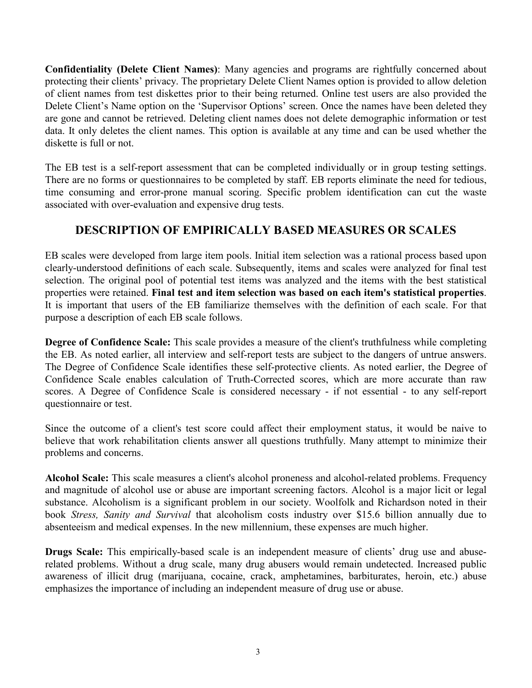**Confidentiality (Delete Client Names)**: Many agencies and programs are rightfully concerned about protecting their clients' privacy. The proprietary Delete Client Names option is provided to allow deletion of client names from test diskettes prior to their being returned. Online test users are also provided the Delete Client's Name option on the 'Supervisor Options' screen. Once the names have been deleted they are gone and cannot be retrieved. Deleting client names does not delete demographic information or test data. It only deletes the client names. This option is available at any time and can be used whether the diskette is full or not.

The EB test is a self-report assessment that can be completed individually or in group testing settings. There are no forms or questionnaires to be completed by staff. EB reports eliminate the need for tedious, time consuming and error-prone manual scoring. Specific problem identification can cut the waste associated with over-evaluation and expensive drug tests.

# **DESCRIPTION OF EMPIRICALLY BASED MEASURES OR SCALES**

EB scales were developed from large item pools. Initial item selection was a rational process based upon clearly-understood definitions of each scale. Subsequently, items and scales were analyzed for final test selection. The original pool of potential test items was analyzed and the items with the best statistical properties were retained. **Final test and item selection was based on each item's statistical properties**. It is important that users of the EB familiarize themselves with the definition of each scale. For that purpose a description of each EB scale follows.

**Degree of Confidence Scale:** This scale provides a measure of the client's truthfulness while completing the EB. As noted earlier, all interview and self-report tests are subject to the dangers of untrue answers. The Degree of Confidence Scale identifies these self-protective clients. As noted earlier, the Degree of Confidence Scale enables calculation of Truth-Corrected scores, which are more accurate than raw scores. A Degree of Confidence Scale is considered necessary - if not essential - to any self-report questionnaire or test.

Since the outcome of a client's test score could affect their employment status, it would be naive to believe that work rehabilitation clients answer all questions truthfully. Many attempt to minimize their problems and concerns.

**Alcohol Scale:** This scale measures a client's alcohol proneness and alcohol-related problems. Frequency and magnitude of alcohol use or abuse are important screening factors. Alcohol is a major licit or legal substance. Alcoholism is a significant problem in our society. Woolfolk and Richardson noted in their book *Stress, Sanity and Survival* that alcoholism costs industry over \$15.6 billion annually due to absenteeism and medical expenses. In the new millennium, these expenses are much higher.

**Drugs Scale:** This empirically-based scale is an independent measure of clients' drug use and abuserelated problems. Without a drug scale, many drug abusers would remain undetected. Increased public awareness of illicit drug (marijuana, cocaine, crack, amphetamines, barbiturates, heroin, etc.) abuse emphasizes the importance of including an independent measure of drug use or abuse.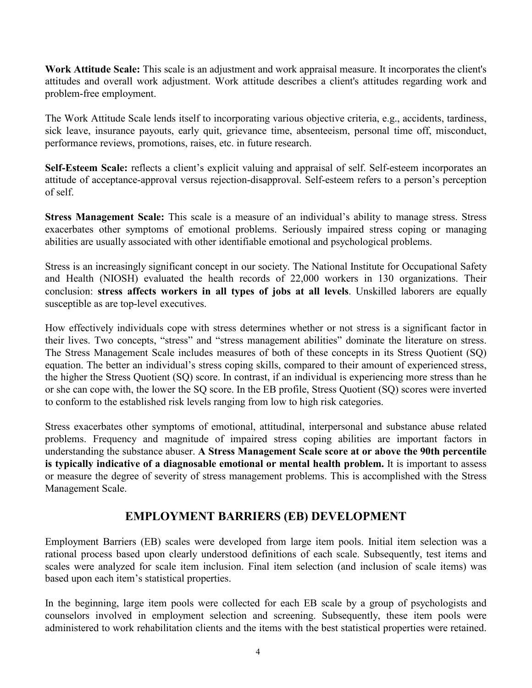**Work Attitude Scale:** This scale is an adjustment and work appraisal measure. It incorporates the client's attitudes and overall work adjustment. Work attitude describes a client's attitudes regarding work and problem-free employment.

The Work Attitude Scale lends itself to incorporating various objective criteria, e.g., accidents, tardiness, sick leave, insurance payouts, early quit, grievance time, absenteeism, personal time off, misconduct, performance reviews, promotions, raises, etc. in future research.

**Self-Esteem Scale:** reflects a client's explicit valuing and appraisal of self. Self-esteem incorporates an attitude of acceptance-approval versus rejection-disapproval. Self-esteem refers to a person's perception of self.

**Stress Management Scale:** This scale is a measure of an individual's ability to manage stress. Stress exacerbates other symptoms of emotional problems. Seriously impaired stress coping or managing abilities are usually associated with other identifiable emotional and psychological problems.

Stress is an increasingly significant concept in our society. The National Institute for Occupational Safety and Health (NIOSH) evaluated the health records of 22,000 workers in 130 organizations. Their conclusion: **stress affects workers in all types of jobs at all levels**. Unskilled laborers are equally susceptible as are top-level executives.

How effectively individuals cope with stress determines whether or not stress is a significant factor in their lives. Two concepts, "stress" and "stress management abilities" dominate the literature on stress. The Stress Management Scale includes measures of both of these concepts in its Stress Quotient (SQ) equation. The better an individual's stress coping skills, compared to their amount of experienced stress, the higher the Stress Quotient (SQ) score. In contrast, if an individual is experiencing more stress than he or she can cope with, the lower the SQ score. In the EB profile, Stress Quotient (SQ) scores were inverted to conform to the established risk levels ranging from low to high risk categories.

Stress exacerbates other symptoms of emotional, attitudinal, interpersonal and substance abuse related problems. Frequency and magnitude of impaired stress coping abilities are important factors in understanding the substance abuser. **A Stress Management Scale score at or above the 90th percentile is typically indicative of a diagnosable emotional or mental health problem.** It is important to assess or measure the degree of severity of stress management problems. This is accomplished with the Stress Management Scale.

# **EMPLOYMENT BARRIERS (EB) DEVELOPMENT**

Employment Barriers (EB) scales were developed from large item pools. Initial item selection was a rational process based upon clearly understood definitions of each scale. Subsequently, test items and scales were analyzed for scale item inclusion. Final item selection (and inclusion of scale items) was based upon each item's statistical properties.

In the beginning, large item pools were collected for each EB scale by a group of psychologists and counselors involved in employment selection and screening. Subsequently, these item pools were administered to work rehabilitation clients and the items with the best statistical properties were retained.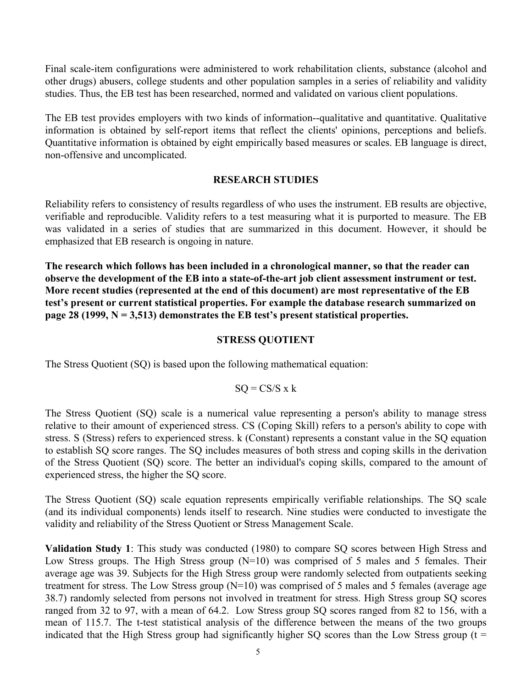Final scale-item configurations were administered to work rehabilitation clients, substance (alcohol and other drugs) abusers, college students and other population samples in a series of reliability and validity studies. Thus, the EB test has been researched, normed and validated on various client populations.

The EB test provides employers with two kinds of information--qualitative and quantitative. Qualitative information is obtained by self-report items that reflect the clients' opinions, perceptions and beliefs. Quantitative information is obtained by eight empirically based measures or scales. EB language is direct, non-offensive and uncomplicated.

### **RESEARCH STUDIES**

Reliability refers to consistency of results regardless of who uses the instrument. EB results are objective, verifiable and reproducible. Validity refers to a test measuring what it is purported to measure. The EB was validated in a series of studies that are summarized in this document. However, it should be emphasized that EB research is ongoing in nature.

**The research which follows has been included in a chronological manner, so that the reader can observe the development of the EB into a state-of-the-art job client assessment instrument or test. More recent studies (represented at the end of this document) are most representative of the EB test's present or current statistical properties. For example the database research summarized on page 28 (1999, N = 3,513) demonstrates the EB test's present statistical properties.** 

### **STRESS QUOTIENT**

The Stress Quotient (SQ) is based upon the following mathematical equation:

$$
SQ = CS/S \times k
$$

The Stress Quotient (SQ) scale is a numerical value representing a person's ability to manage stress relative to their amount of experienced stress. CS (Coping Skill) refers to a person's ability to cope with stress. S (Stress) refers to experienced stress. k (Constant) represents a constant value in the SQ equation to establish SQ score ranges. The SQ includes measures of both stress and coping skills in the derivation of the Stress Quotient (SQ) score. The better an individual's coping skills, compared to the amount of experienced stress, the higher the SQ score.

The Stress Quotient (SQ) scale equation represents empirically verifiable relationships. The SQ scale (and its individual components) lends itself to research. Nine studies were conducted to investigate the validity and reliability of the Stress Quotient or Stress Management Scale.

**Validation Study 1**: This study was conducted (1980) to compare SQ scores between High Stress and Low Stress groups. The High Stress group  $(N=10)$  was comprised of 5 males and 5 females. Their average age was 39. Subjects for the High Stress group were randomly selected from outpatients seeking treatment for stress. The Low Stress group (N=10) was comprised of 5 males and 5 females (average age 38.7) randomly selected from persons not involved in treatment for stress. High Stress group SQ scores ranged from 32 to 97, with a mean of 64.2. Low Stress group SQ scores ranged from 82 to 156, with a mean of 115.7. The t-test statistical analysis of the difference between the means of the two groups indicated that the High Stress group had significantly higher SQ scores than the Low Stress group ( $t =$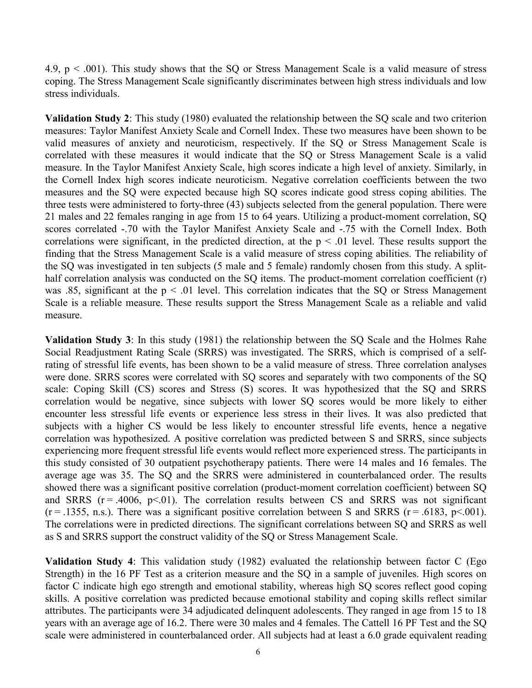4.9,  $p < .001$ ). This study shows that the SQ or Stress Management Scale is a valid measure of stress coping. The Stress Management Scale significantly discriminates between high stress individuals and low stress individuals.

**Validation Study 2**: This study (1980) evaluated the relationship between the SQ scale and two criterion measures: Taylor Manifest Anxiety Scale and Cornell Index. These two measures have been shown to be valid measures of anxiety and neuroticism, respectively. If the SQ or Stress Management Scale is correlated with these measures it would indicate that the SQ or Stress Management Scale is a valid measure. In the Taylor Manifest Anxiety Scale, high scores indicate a high level of anxiety. Similarly, in the Cornell Index high scores indicate neuroticism. Negative correlation coefficients between the two measures and the SQ were expected because high SQ scores indicate good stress coping abilities. The three tests were administered to forty-three (43) subjects selected from the general population. There were 21 males and 22 females ranging in age from 15 to 64 years. Utilizing a product-moment correlation, SQ scores correlated -.70 with the Taylor Manifest Anxiety Scale and -.75 with the Cornell Index. Both correlations were significant, in the predicted direction, at the  $p \le 0.01$  level. These results support the finding that the Stress Management Scale is a valid measure of stress coping abilities. The reliability of the SQ was investigated in ten subjects (5 male and 5 female) randomly chosen from this study. A splithalf correlation analysis was conducted on the SO items. The product-moment correlation coefficient (r) was .85, significant at the  $p < 0.01$  level. This correlation indicates that the SQ or Stress Management Scale is a reliable measure. These results support the Stress Management Scale as a reliable and valid measure.

**Validation Study 3**: In this study (1981) the relationship between the SQ Scale and the Holmes Rahe Social Readjustment Rating Scale (SRRS) was investigated. The SRRS, which is comprised of a selfrating of stressful life events, has been shown to be a valid measure of stress. Three correlation analyses were done. SRRS scores were correlated with SQ scores and separately with two components of the SQ scale: Coping Skill (CS) scores and Stress (S) scores. It was hypothesized that the SQ and SRRS correlation would be negative, since subjects with lower SQ scores would be more likely to either encounter less stressful life events or experience less stress in their lives. It was also predicted that subjects with a higher CS would be less likely to encounter stressful life events, hence a negative correlation was hypothesized. A positive correlation was predicted between S and SRRS, since subjects experiencing more frequent stressful life events would reflect more experienced stress. The participants in this study consisted of 30 outpatient psychotherapy patients. There were 14 males and 16 females. The average age was 35. The SQ and the SRRS were administered in counterbalanced order. The results showed there was a significant positive correlation (product-moment correlation coefficient) between SQ and SRRS  $(r = .4006, p < .01)$ . The correlation results between CS and SRRS was not significant  $(r = .1355, n.s.)$ . There was a significant positive correlation between S and SRRS  $(r = .6183, p < .001)$ . The correlations were in predicted directions. The significant correlations between SQ and SRRS as well as S and SRRS support the construct validity of the SQ or Stress Management Scale.

**Validation Study 4**: This validation study (1982) evaluated the relationship between factor C (Ego Strength) in the 16 PF Test as a criterion measure and the SQ in a sample of juveniles. High scores on factor C indicate high ego strength and emotional stability, whereas high SQ scores reflect good coping skills. A positive correlation was predicted because emotional stability and coping skills reflect similar attributes. The participants were 34 adjudicated delinquent adolescents. They ranged in age from 15 to 18 years with an average age of 16.2. There were 30 males and 4 females. The Cattell 16 PF Test and the SQ scale were administered in counterbalanced order. All subjects had at least a 6.0 grade equivalent reading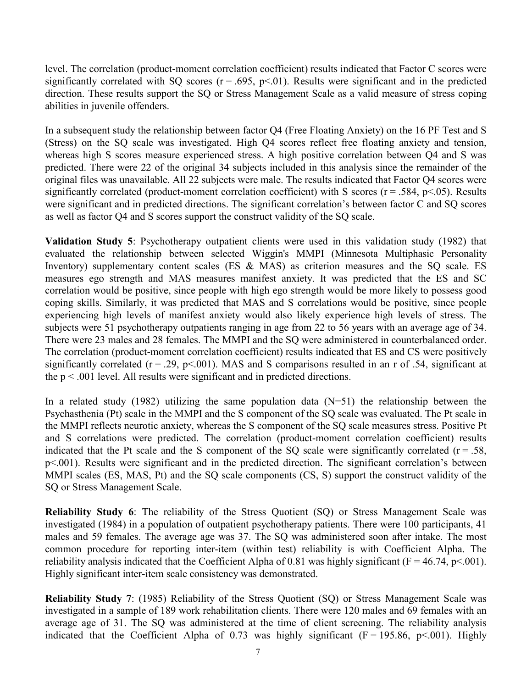level. The correlation (product-moment correlation coefficient) results indicated that Factor C scores were significantly correlated with SQ scores ( $r = .695$ ,  $p < .01$ ). Results were significant and in the predicted direction. These results support the SQ or Stress Management Scale as a valid measure of stress coping abilities in juvenile offenders.

In a subsequent study the relationship between factor Q4 (Free Floating Anxiety) on the 16 PF Test and S (Stress) on the SQ scale was investigated. High Q4 scores reflect free floating anxiety and tension, whereas high S scores measure experienced stress. A high positive correlation between Q4 and S was predicted. There were 22 of the original 34 subjects included in this analysis since the remainder of the original files was unavailable. All 22 subjects were male. The results indicated that Factor Q4 scores were significantly correlated (product-moment correlation coefficient) with S scores ( $r = .584$ ,  $p < .05$ ). Results were significant and in predicted directions. The significant correlation's between factor C and SQ scores as well as factor Q4 and S scores support the construct validity of the SQ scale.

**Validation Study 5**: Psychotherapy outpatient clients were used in this validation study (1982) that evaluated the relationship between selected Wiggin's MMPI (Minnesota Multiphasic Personality Inventory) supplementary content scales (ES & MAS) as criterion measures and the SQ scale. ES measures ego strength and MAS measures manifest anxiety. It was predicted that the ES and SC correlation would be positive, since people with high ego strength would be more likely to possess good coping skills. Similarly, it was predicted that MAS and S correlations would be positive, since people experiencing high levels of manifest anxiety would also likely experience high levels of stress. The subjects were 51 psychotherapy outpatients ranging in age from 22 to 56 years with an average age of 34. There were 23 males and 28 females. The MMPI and the SQ were administered in counterbalanced order. The correlation (product-moment correlation coefficient) results indicated that ES and CS were positively significantly correlated ( $r = .29$ ,  $p < .001$ ). MAS and S comparisons resulted in an r of .54, significant at the  $p < .001$  level. All results were significant and in predicted directions.

In a related study (1982) utilizing the same population data  $(N=51)$  the relationship between the Psychasthenia (Pt) scale in the MMPI and the S component of the SQ scale was evaluated. The Pt scale in the MMPI reflects neurotic anxiety, whereas the S component of the SQ scale measures stress. Positive Pt and S correlations were predicted. The correlation (product-moment correlation coefficient) results indicated that the Pt scale and the S component of the SQ scale were significantly correlated ( $r = .58$ , p<.001). Results were significant and in the predicted direction. The significant correlation's between MMPI scales (ES, MAS, Pt) and the SQ scale components (CS, S) support the construct validity of the SQ or Stress Management Scale.

**Reliability Study 6**: The reliability of the Stress Quotient (SQ) or Stress Management Scale was investigated (1984) in a population of outpatient psychotherapy patients. There were 100 participants, 41 males and 59 females. The average age was 37. The SQ was administered soon after intake. The most common procedure for reporting inter-item (within test) reliability is with Coefficient Alpha. The reliability analysis indicated that the Coefficient Alpha of 0.81 was highly significant ( $F = 46.74$ ,  $p < .001$ ). Highly significant inter-item scale consistency was demonstrated.

**Reliability Study 7**: (1985) Reliability of the Stress Quotient (SQ) or Stress Management Scale was investigated in a sample of 189 work rehabilitation clients. There were 120 males and 69 females with an average age of 31. The SQ was administered at the time of client screening. The reliability analysis indicated that the Coefficient Alpha of 0.73 was highly significant  $(F = 195.86, p \le 001)$ . Highly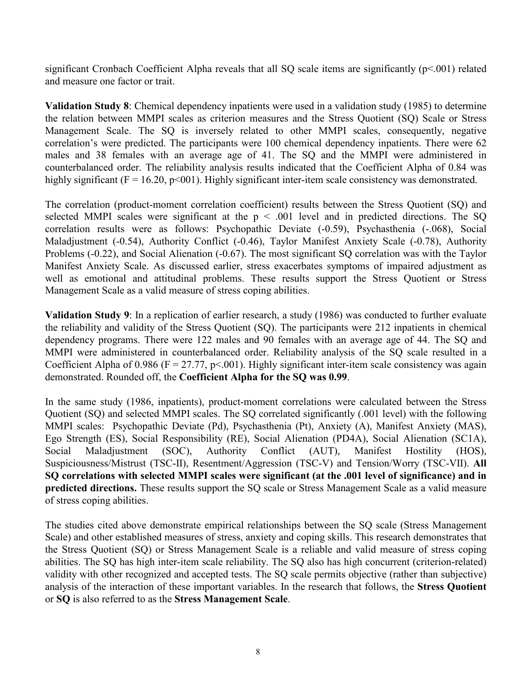significant Cronbach Coefficient Alpha reveals that all SQ scale items are significantly  $(p<.001)$  related and measure one factor or trait.

**Validation Study 8**: Chemical dependency inpatients were used in a validation study (1985) to determine the relation between MMPI scales as criterion measures and the Stress Quotient (SQ) Scale or Stress Management Scale. The SQ is inversely related to other MMPI scales, consequently, negative correlation's were predicted. The participants were 100 chemical dependency inpatients. There were 62 males and 38 females with an average age of 41. The SQ and the MMPI were administered in counterbalanced order. The reliability analysis results indicated that the Coefficient Alpha of 0.84 was highly significant ( $F = 16.20$ ,  $p < 001$ ). Highly significant inter-item scale consistency was demonstrated.

The correlation (product-moment correlation coefficient) results between the Stress Quotient (SQ) and selected MMPI scales were significant at the  $p < .001$  level and in predicted directions. The SQ correlation results were as follows: Psychopathic Deviate (-0.59), Psychasthenia (-.068), Social Maladjustment (-0.54), Authority Conflict (-0.46), Taylor Manifest Anxiety Scale (-0.78), Authority Problems (-0.22), and Social Alienation (-0.67). The most significant SQ correlation was with the Taylor Manifest Anxiety Scale. As discussed earlier, stress exacerbates symptoms of impaired adjustment as well as emotional and attitudinal problems. These results support the Stress Quotient or Stress Management Scale as a valid measure of stress coping abilities.

**Validation Study 9**: In a replication of earlier research, a study (1986) was conducted to further evaluate the reliability and validity of the Stress Quotient (SQ). The participants were 212 inpatients in chemical dependency programs. There were 122 males and 90 females with an average age of 44. The SQ and MMPI were administered in counterbalanced order. Reliability analysis of the SQ scale resulted in a Coefficient Alpha of 0.986 ( $F = 27.77$ ,  $p < .001$ ). Highly significant inter-item scale consistency was again demonstrated. Rounded off, the **Coefficient Alpha for the SQ was 0.99**.

In the same study (1986, inpatients), product-moment correlations were calculated between the Stress Quotient (SQ) and selected MMPI scales. The SQ correlated significantly (.001 level) with the following MMPI scales: Psychopathic Deviate (Pd), Psychasthenia (Pt), Anxiety (A), Manifest Anxiety (MAS), Ego Strength (ES), Social Responsibility (RE), Social Alienation (PD4A), Social Alienation (SC1A), Social Maladiustment (SOC), Authority Conflict (AUT), Manifest Hostility (HOS), Social Maladjustment (SOC), Authority Conflict (AUT), Manifest Hostility (HOS), Suspiciousness/Mistrust (TSC-II), Resentment/Aggression (TSC-V) and Tension/Worry (TSC-VII). **All SQ correlations with selected MMPI scales were significant (at the .001 level of significance) and in predicted directions.** These results support the SO scale or Stress Management Scale as a valid measure of stress coping abilities.

The studies cited above demonstrate empirical relationships between the SQ scale (Stress Management Scale) and other established measures of stress, anxiety and coping skills. This research demonstrates that the Stress Quotient (SQ) or Stress Management Scale is a reliable and valid measure of stress coping abilities. The SQ has high inter-item scale reliability. The SQ also has high concurrent (criterion-related) validity with other recognized and accepted tests. The SQ scale permits objective (rather than subjective) analysis of the interaction of these important variables. In the research that follows, the **Stress Quotient** or **SQ** is also referred to as the **Stress Management Scale**.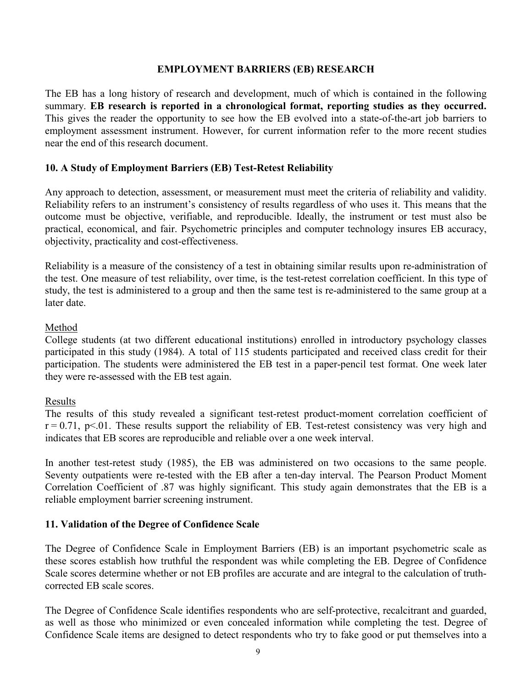#### **EMPLOYMENT BARRIERS (EB) RESEARCH**

The EB has a long history of research and development, much of which is contained in the following summary. **EB research is reported in a chronological format, reporting studies as they occurred.** This gives the reader the opportunity to see how the EB evolved into a state-of-the-art job barriers to employment assessment instrument. However, for current information refer to the more recent studies near the end of this research document.

# **10. A Study of Employment Barriers (EB) Test-Retest Reliability**

Any approach to detection, assessment, or measurement must meet the criteria of reliability and validity. Reliability refers to an instrument's consistency of results regardless of who uses it. This means that the outcome must be objective, verifiable, and reproducible. Ideally, the instrument or test must also be practical, economical, and fair. Psychometric principles and computer technology insures EB accuracy, objectivity, practicality and cost-effectiveness.

Reliability is a measure of the consistency of a test in obtaining similar results upon re-administration of the test. One measure of test reliability, over time, is the test-retest correlation coefficient. In this type of study, the test is administered to a group and then the same test is re-administered to the same group at a later date.

#### Method

College students (at two different educational institutions) enrolled in introductory psychology classes participated in this study (1984). A total of 115 students participated and received class credit for their participation. The students were administered the EB test in a paper-pencil test format. One week later they were re-assessed with the EB test again.

#### Results

The results of this study revealed a significant test-retest product-moment correlation coefficient of  $r = 0.71$ ,  $p \le 01$ . These results support the reliability of EB. Test-retest consistency was very high and indicates that EB scores are reproducible and reliable over a one week interval.

In another test-retest study (1985), the EB was administered on two occasions to the same people. Seventy outpatients were re-tested with the EB after a ten-day interval. The Pearson Product Moment Correlation Coefficient of .87 was highly significant. This study again demonstrates that the EB is a reliable employment barrier screening instrument.

#### **11. Validation of the Degree of Confidence Scale**

The Degree of Confidence Scale in Employment Barriers (EB) is an important psychometric scale as these scores establish how truthful the respondent was while completing the EB. Degree of Confidence Scale scores determine whether or not EB profiles are accurate and are integral to the calculation of truthcorrected EB scale scores.

The Degree of Confidence Scale identifies respondents who are self-protective, recalcitrant and guarded, as well as those who minimized or even concealed information while completing the test. Degree of Confidence Scale items are designed to detect respondents who try to fake good or put themselves into a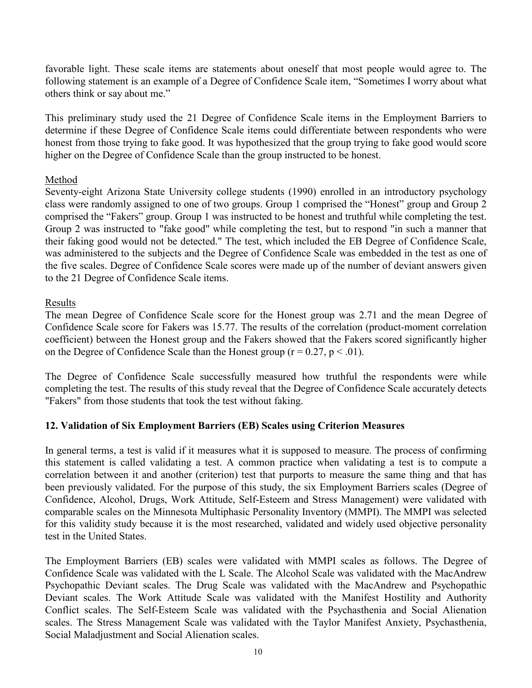favorable light. These scale items are statements about oneself that most people would agree to. The following statement is an example of a Degree of Confidence Scale item, "Sometimes I worry about what others think or say about me."

This preliminary study used the 21 Degree of Confidence Scale items in the Employment Barriers to determine if these Degree of Confidence Scale items could differentiate between respondents who were honest from those trying to fake good. It was hypothesized that the group trying to fake good would score higher on the Degree of Confidence Scale than the group instructed to be honest.

# Method

Seventy-eight Arizona State University college students (1990) enrolled in an introductory psychology class were randomly assigned to one of two groups. Group 1 comprised the "Honest" group and Group 2 comprised the "Fakers" group. Group 1 was instructed to be honest and truthful while completing the test. Group 2 was instructed to "fake good" while completing the test, but to respond "in such a manner that their faking good would not be detected." The test, which included the EB Degree of Confidence Scale, was administered to the subjects and the Degree of Confidence Scale was embedded in the test as one of the five scales. Degree of Confidence Scale scores were made up of the number of deviant answers given to the 21 Degree of Confidence Scale items.

# Results

The mean Degree of Confidence Scale score for the Honest group was 2.71 and the mean Degree of Confidence Scale score for Fakers was 15.77. The results of the correlation (product-moment correlation coefficient) between the Honest group and the Fakers showed that the Fakers scored significantly higher on the Degree of Confidence Scale than the Honest group ( $r = 0.27$ ,  $p < .01$ ).

The Degree of Confidence Scale successfully measured how truthful the respondents were while completing the test. The results of this study reveal that the Degree of Confidence Scale accurately detects "Fakers" from those students that took the test without faking.

# **12. Validation of Six Employment Barriers (EB) Scales using Criterion Measures**

In general terms, a test is valid if it measures what it is supposed to measure. The process of confirming this statement is called validating a test. A common practice when validating a test is to compute a correlation between it and another (criterion) test that purports to measure the same thing and that has been previously validated. For the purpose of this study, the six Employment Barriers scales (Degree of Confidence, Alcohol, Drugs, Work Attitude, Self-Esteem and Stress Management) were validated with comparable scales on the Minnesota Multiphasic Personality Inventory (MMPI). The MMPI was selected for this validity study because it is the most researched, validated and widely used objective personality test in the United States.

The Employment Barriers (EB) scales were validated with MMPI scales as follows. The Degree of Confidence Scale was validated with the L Scale. The Alcohol Scale was validated with the MacAndrew Psychopathic Deviant scales. The Drug Scale was validated with the MacAndrew and Psychopathic Deviant scales. The Work Attitude Scale was validated with the Manifest Hostility and Authority Conflict scales. The Self-Esteem Scale was validated with the Psychasthenia and Social Alienation scales. The Stress Management Scale was validated with the Taylor Manifest Anxiety, Psychasthenia, Social Maladjustment and Social Alienation scales.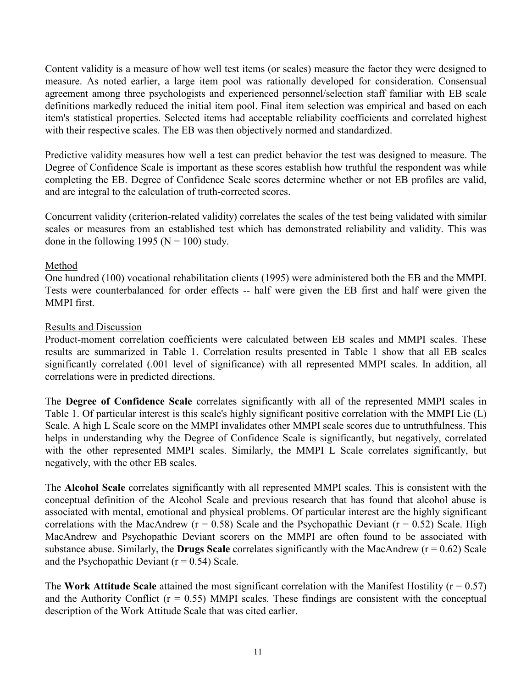Content validity is a measure of how well test items (or scales) measure the factor they were designed to measure. As noted earlier, a large item pool was rationally developed for consideration. Consensual agreement among three psychologists and experienced personnel/selection staff familiar with EB scale definitions markedly reduced the initial item pool. Final item selection was empirical and based on each item's statistical properties. Selected items had acceptable reliability coefficients and correlated highest with their respective scales. The EB was then objectively normed and standardized.

Predictive validity measures how well a test can predict behavior the test was designed to measure. The Degree of Confidence Scale is important as these scores establish how truthful the respondent was while completing the EB. Degree of Confidence Scale scores determine whether or not EB profiles are valid, and are integral to the calculation of truth-corrected scores.

Concurrent validity (criterion-related validity) correlates the scales of the test being validated with similar scales or measures from an established test which has demonstrated reliability and validity. This was done in the following 1995 ( $N = 100$ ) study.

# Method

One hundred (100) vocational rehabilitation clients (1995) were administered both the EB and the MMPI. Tests were counterbalanced for order effects -- half were given the EB first and half were given the MMPI first.

# Results and Discussion

Product-moment correlation coefficients were calculated between EB scales and MMPI scales. These results are summarized in Table 1. Correlation results presented in Table 1 show that all EB scales significantly correlated (.001 level of significance) with all represented MMPI scales. In addition, all correlations were in predicted directions.

The **Degree of Confidence Scale** correlates significantly with all of the represented MMPI scales in Table 1. Of particular interest is this scale's highly significant positive correlation with the MMPI Lie (L) Scale. A high L Scale score on the MMPI invalidates other MMPI scale scores due to untruthfulness. This helps in understanding why the Degree of Confidence Scale is significantly, but negatively, correlated with the other represented MMPI scales. Similarly, the MMPI L Scale correlates significantly, but negatively, with the other EB scales.

The **Alcohol Scale** correlates significantly with all represented MMPI scales. This is consistent with the conceptual definition of the Alcohol Scale and previous research that has found that alcohol abuse is associated with mental, emotional and physical problems. Of particular interest are the highly significant correlations with the MacAndrew ( $r = 0.58$ ) Scale and the Psychopathic Deviant ( $r = 0.52$ ) Scale. High MacAndrew and Psychopathic Deviant scorers on the MMPI are often found to be associated with substance abuse. Similarly, the **Drugs Scale** correlates significantly with the MacAndrew ( $r = 0.62$ ) Scale and the Psychopathic Deviant  $(r = 0.54)$  Scale.

The **Work Attitude Scale** attained the most significant correlation with the Manifest Hostility ( $r = 0.57$ ) and the Authority Conflict ( $r = 0.55$ ) MMPI scales. These findings are consistent with the conceptual description of the Work Attitude Scale that was cited earlier.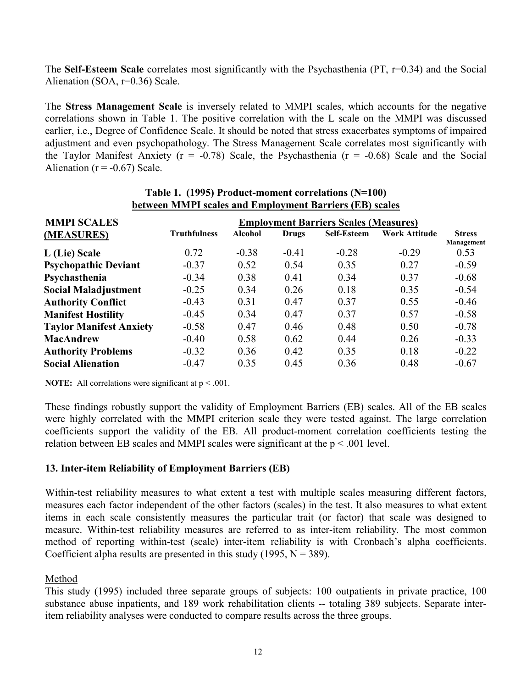The **Self-Esteem Scale** correlates most significantly with the Psychasthenia (PT, r=0.34) and the Social Alienation (SOA, r=0.36) Scale.

The **Stress Management Scale** is inversely related to MMPI scales, which accounts for the negative correlations shown in Table 1. The positive correlation with the L scale on the MMPI was discussed earlier, i.e., Degree of Confidence Scale. It should be noted that stress exacerbates symptoms of impaired adjustment and even psychopathology. The Stress Management Scale correlates most significantly with the Taylor Manifest Anxiety ( $r = -0.78$ ) Scale, the Psychasthenia ( $r = -0.68$ ) Scale and the Social Alienation ( $r = -0.67$ ) Scale.

| <b>MMPI SCALES</b>             |                     |                |         | <b>Employment Barriers Scales (Measures)</b> |                      |                    |
|--------------------------------|---------------------|----------------|---------|----------------------------------------------|----------------------|--------------------|
| (MEASURES)                     | <b>Truthfulness</b> | <b>Alcohol</b> | Drugs   | <b>Self-Esteem</b>                           | <b>Work Attitude</b> | <b>Stress</b>      |
| L (Lie) Scale                  | 0.72                | $-0.38$        | $-0.41$ | $-0.28$                                      | $-0.29$              | Management<br>0.53 |
| <b>Psychopathic Deviant</b>    | $-0.37$             | 0.52           | 0.54    | 0.35                                         | 0.27                 | $-0.59$            |
| Psychasthenia                  | $-0.34$             | 0.38           | 0.41    | 0.34                                         | 0.37                 | $-0.68$            |
| <b>Social Maladjustment</b>    | $-0.25$             | 0.34           | 0.26    | 0.18                                         | 0.35                 | $-0.54$            |
| <b>Authority Conflict</b>      | $-0.43$             | 0.31           | 0.47    | 0.37                                         | 0.55                 | $-0.46$            |
| <b>Manifest Hostility</b>      | $-0.45$             | 0.34           | 0.47    | 0.37                                         | 0.57                 | $-0.58$            |
| <b>Taylor Manifest Anxiety</b> | $-0.58$             | 0.47           | 0.46    | 0.48                                         | 0.50                 | $-0.78$            |
| <b>MacAndrew</b>               | $-0.40$             | 0.58           | 0.62    | 0.44                                         | 0.26                 | $-0.33$            |
| <b>Authority Problems</b>      | $-0.32$             | 0.36           | 0.42    | 0.35                                         | 0.18                 | $-0.22$            |
| <b>Social Alienation</b>       | $-0.47$             | 0.35           | 0.45    | 0.36                                         | 0.48                 | $-0.67$            |

#### **Table 1. (1995) Product-moment correlations (N=100) between MMPI scales and Employment Barriers (EB) scales**

**NOTE:** All correlations were significant at  $p < .001$ .

These findings robustly support the validity of Employment Barriers (EB) scales. All of the EB scales were highly correlated with the MMPI criterion scale they were tested against. The large correlation coefficients support the validity of the EB. All product-moment correlation coefficients testing the relation between EB scales and MMPI scales were significant at the  $p < .001$  level.

# **13. Inter-item Reliability of Employment Barriers (EB)**

Within-test reliability measures to what extent a test with multiple scales measuring different factors, measures each factor independent of the other factors (scales) in the test. It also measures to what extent items in each scale consistently measures the particular trait (or factor) that scale was designed to measure. Within-test reliability measures are referred to as inter-item reliability. The most common method of reporting within-test (scale) inter-item reliability is with Cronbach's alpha coefficients. Coefficient alpha results are presented in this study (1995,  $N = 389$ ).

# Method

This study (1995) included three separate groups of subjects: 100 outpatients in private practice, 100 substance abuse inpatients, and 189 work rehabilitation clients -- totaling 389 subjects. Separate interitem reliability analyses were conducted to compare results across the three groups.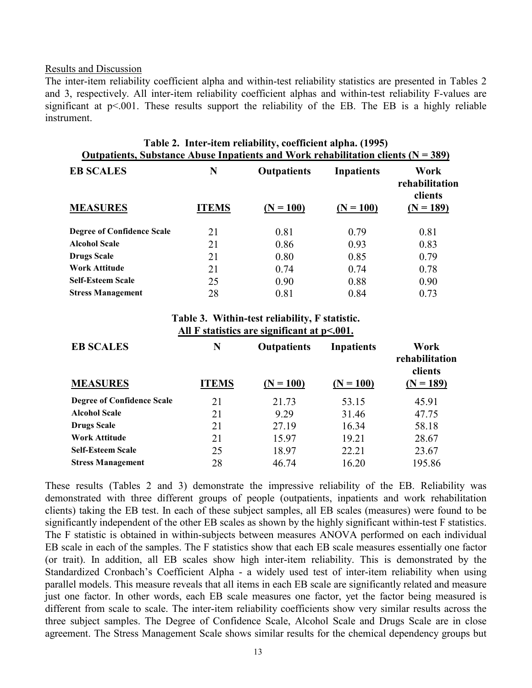#### Results and Discussion

The inter-item reliability coefficient alpha and within-test reliability statistics are presented in Tables 2 and 3, respectively. All inter-item reliability coefficient alphas and within-test reliability F-values are significant at p<.001. These results support the reliability of the EB. The EB is a highly reliable instrument.

| Table 2. Inter-item reliability, coefficient alpha. (1995)<br><u><b>Outpatients, Substance Abuse Inpatients and Work rehabilitation clients (<math>N = 389</math>)</b></u> |              |                    |                   |                                   |
|----------------------------------------------------------------------------------------------------------------------------------------------------------------------------|--------------|--------------------|-------------------|-----------------------------------|
| <b>EB SCALES</b>                                                                                                                                                           | N            | <b>Outpatients</b> | <b>Inpatients</b> | Work<br>rehabilitation<br>clients |
| <b>MEASURES</b>                                                                                                                                                            | <b>ITEMS</b> | $(N = 100)$        | $(N = 100)$       | $(N = 189)$                       |
| <b>Degree of Confidence Scale</b>                                                                                                                                          | 21           | 0.81               | 0.79              | 0.81                              |
| <b>Alcohol Scale</b>                                                                                                                                                       | 21           | 0.86               | 0.93              | 0.83                              |
| <b>Drugs Scale</b>                                                                                                                                                         | 21           | 0.80               | 0.85              | 0.79                              |
| Work Attitude                                                                                                                                                              | 21           | 0.74               | 0.74              | 0.78                              |
| <b>Self-Esteem Scale</b>                                                                                                                                                   | 25           | 0.90               | 0.88              | 0.90                              |
| <b>Stress Management</b>                                                                                                                                                   | 28           | 0.81               | 0.84              | 0.73                              |

#### **Table 3. Within-test reliability, F statistic. All F statistics are significant at p<.001.**

| <b>EB SCALES</b>                  | N            | <b>Outpatients</b> | <b>Inpatients</b> | Work<br>rehabilitation<br>clients |
|-----------------------------------|--------------|--------------------|-------------------|-----------------------------------|
| <b>MEASURES</b>                   | <b>ITEMS</b> | $(N = 100)$        | $(N = 100)$       | $(N = 189)$                       |
| <b>Degree of Confidence Scale</b> | 21           | 21.73              | 53.15             | 45.91                             |
| <b>Alcohol Scale</b>              | 21           | 9.29               | 31.46             | 47.75                             |
| <b>Drugs Scale</b>                | 21           | 27.19              | 16.34             | 58.18                             |
| <b>Work Attitude</b>              | 21           | 15.97              | 19.21             | 28.67                             |
| <b>Self-Esteem Scale</b>          | 25           | 18.97              | 22.21             | 23.67                             |
| <b>Stress Management</b>          | 28           | 46.74              | 16.20             | 195.86                            |

These results (Tables 2 and 3) demonstrate the impressive reliability of the EB. Reliability was demonstrated with three different groups of people (outpatients, inpatients and work rehabilitation clients) taking the EB test. In each of these subject samples, all EB scales (measures) were found to be significantly independent of the other EB scales as shown by the highly significant within-test F statistics. The F statistic is obtained in within-subjects between measures ANOVA performed on each individual EB scale in each of the samples. The F statistics show that each EB scale measures essentially one factor (or trait). In addition, all EB scales show high inter-item reliability. This is demonstrated by the Standardized Cronbach's Coefficient Alpha - a widely used test of inter-item reliability when using parallel models. This measure reveals that all items in each EB scale are significantly related and measure just one factor. In other words, each EB scale measures one factor, yet the factor being measured is different from scale to scale. The inter-item reliability coefficients show very similar results across the three subject samples. The Degree of Confidence Scale, Alcohol Scale and Drugs Scale are in close agreement. The Stress Management Scale shows similar results for the chemical dependency groups but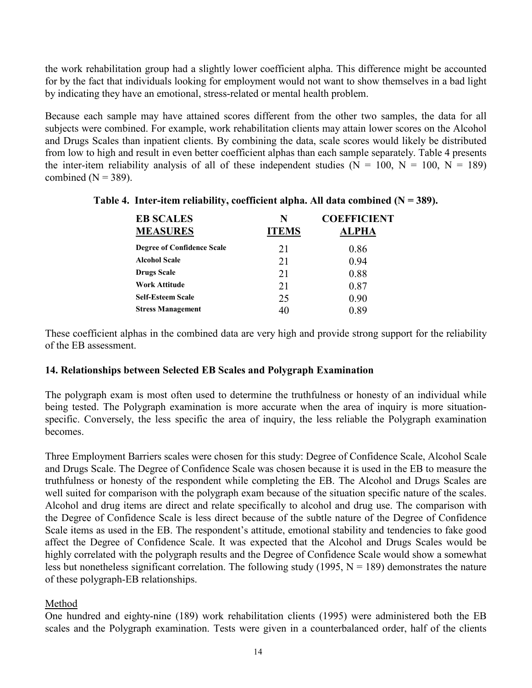the work rehabilitation group had a slightly lower coefficient alpha. This difference might be accounted for by the fact that individuals looking for employment would not want to show themselves in a bad light by indicating they have an emotional, stress-related or mental health problem.

Because each sample may have attained scores different from the other two samples, the data for all subjects were combined. For example, work rehabilitation clients may attain lower scores on the Alcohol and Drugs Scales than inpatient clients. By combining the data, scale scores would likely be distributed from low to high and result in even better coefficient alphas than each sample separately. Table 4 presents the inter-item reliability analysis of all of these independent studies ( $N = 100$ ,  $N = 100$ ,  $N = 189$ ) combined ( $N = 389$ ).

| N  | <b>COEFFICIENT</b> |
|----|--------------------|
|    | <b>ALPHA</b>       |
| 21 | 0.86               |
| 21 | 0.94               |
| 21 | 0.88               |
| 21 | 0.87               |
| 25 | 0.90               |
| 40 | 0.89               |
|    | <b>ITEMS</b>       |

### **Table 4. Inter-item reliability, coefficient alpha. All data combined (N = 389).**

These coefficient alphas in the combined data are very high and provide strong support for the reliability of the EB assessment.

#### **14. Relationships between Selected EB Scales and Polygraph Examination**

The polygraph exam is most often used to determine the truthfulness or honesty of an individual while being tested. The Polygraph examination is more accurate when the area of inquiry is more situationspecific. Conversely, the less specific the area of inquiry, the less reliable the Polygraph examination becomes.

Three Employment Barriers scales were chosen for this study: Degree of Confidence Scale, Alcohol Scale and Drugs Scale. The Degree of Confidence Scale was chosen because it is used in the EB to measure the truthfulness or honesty of the respondent while completing the EB. The Alcohol and Drugs Scales are well suited for comparison with the polygraph exam because of the situation specific nature of the scales. Alcohol and drug items are direct and relate specifically to alcohol and drug use. The comparison with the Degree of Confidence Scale is less direct because of the subtle nature of the Degree of Confidence Scale items as used in the EB. The respondent's attitude, emotional stability and tendencies to fake good affect the Degree of Confidence Scale. It was expected that the Alcohol and Drugs Scales would be highly correlated with the polygraph results and the Degree of Confidence Scale would show a somewhat less but nonetheless significant correlation. The following study (1995,  $N = 189$ ) demonstrates the nature of these polygraph-EB relationships.

# Method

One hundred and eighty-nine (189) work rehabilitation clients (1995) were administered both the EB scales and the Polygraph examination. Tests were given in a counterbalanced order, half of the clients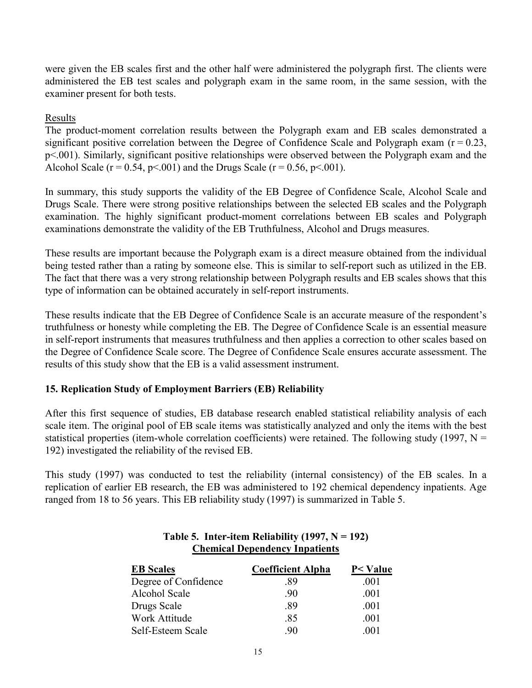were given the EB scales first and the other half were administered the polygraph first. The clients were administered the EB test scales and polygraph exam in the same room, in the same session, with the examiner present for both tests.

## Results

The product-moment correlation results between the Polygraph exam and EB scales demonstrated a significant positive correlation between the Degree of Confidence Scale and Polygraph exam ( $r = 0.23$ , p<.001). Similarly, significant positive relationships were observed between the Polygraph exam and the Alcohol Scale ( $r = 0.54$ ,  $p < .001$ ) and the Drugs Scale ( $r = 0.56$ ,  $p < .001$ ).

In summary, this study supports the validity of the EB Degree of Confidence Scale, Alcohol Scale and Drugs Scale. There were strong positive relationships between the selected EB scales and the Polygraph examination. The highly significant product-moment correlations between EB scales and Polygraph examinations demonstrate the validity of the EB Truthfulness, Alcohol and Drugs measures.

These results are important because the Polygraph exam is a direct measure obtained from the individual being tested rather than a rating by someone else. This is similar to self-report such as utilized in the EB. The fact that there was a very strong relationship between Polygraph results and EB scales shows that this type of information can be obtained accurately in self-report instruments.

These results indicate that the EB Degree of Confidence Scale is an accurate measure of the respondent's truthfulness or honesty while completing the EB. The Degree of Confidence Scale is an essential measure in self-report instruments that measures truthfulness and then applies a correction to other scales based on the Degree of Confidence Scale score. The Degree of Confidence Scale ensures accurate assessment. The results of this study show that the EB is a valid assessment instrument.

# **15. Replication Study of Employment Barriers (EB) Reliability**

After this first sequence of studies, EB database research enabled statistical reliability analysis of each scale item. The original pool of EB scale items was statistically analyzed and only the items with the best statistical properties (item-whole correlation coefficients) were retained. The following study (1997,  $N =$ 192) investigated the reliability of the revised EB.

This study (1997) was conducted to test the reliability (internal consistency) of the EB scales. In a replication of earlier EB research, the EB was administered to 192 chemical dependency inpatients. Age ranged from 18 to 56 years. This EB reliability study (1997) is summarized in Table 5.

| <b>EB</b> Scales     | <b>Coefficient Alpha</b> | P< Value |
|----------------------|--------------------------|----------|
| Degree of Confidence | -89                      | -001     |
| <b>Alcohol Scale</b> | -90                      | -001     |
| Drugs Scale          | -89                      | -001     |
| Work Attitude        | -85                      | -001     |
| Self-Esteem Scale    | 90                       | 001      |

# Table 5. Inter-item Reliability  $(1997, N = 192)$ **Chemical Dependency Inpatients**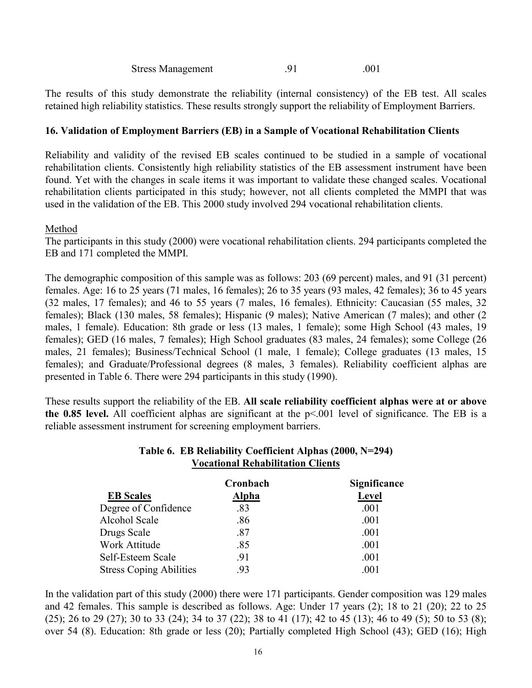Stress Management .91 .001

The results of this study demonstrate the reliability (internal consistency) of the EB test. All scales retained high reliability statistics. These results strongly support the reliability of Employment Barriers.

### **16. Validation of Employment Barriers (EB) in a Sample of Vocational Rehabilitation Clients**

Reliability and validity of the revised EB scales continued to be studied in a sample of vocational rehabilitation clients. Consistently high reliability statistics of the EB assessment instrument have been found. Yet with the changes in scale items it was important to validate these changed scales. Vocational rehabilitation clients participated in this study; however, not all clients completed the MMPI that was used in the validation of the EB. This 2000 study involved 294 vocational rehabilitation clients.

#### Method

The participants in this study (2000) were vocational rehabilitation clients. 294 participants completed the EB and 171 completed the MMPI.

The demographic composition of this sample was as follows: 203 (69 percent) males, and 91 (31 percent) females. Age: 16 to 25 years (71 males, 16 females); 26 to 35 years (93 males, 42 females); 36 to 45 years (32 males, 17 females); and 46 to 55 years (7 males, 16 females). Ethnicity: Caucasian (55 males, 32 females); Black (130 males, 58 females); Hispanic (9 males); Native American (7 males); and other (2 males, 1 female). Education: 8th grade or less (13 males, 1 female); some High School (43 males, 19 females); GED (16 males, 7 females); High School graduates (83 males, 24 females); some College (26 males, 21 females); Business/Technical School (1 male, 1 female); College graduates (13 males, 15 females); and Graduate/Professional degrees (8 males, 3 females). Reliability coefficient alphas are presented in Table 6. There were 294 participants in this study (1990).

These results support the reliability of the EB. **All scale reliability coefficient alphas were at or above the 0.85 level.** All coefficient alphas are significant at the p<.001 level of significance. The EB is a reliable assessment instrument for screening employment barriers.

# **Table 6. EB Reliability Coefficient Alphas (2000, N=294) Vocational Rehabilitation Clients**

|                                | Cronbach     | <b>Significance</b> |
|--------------------------------|--------------|---------------------|
| <b>EB</b> Scales               | <b>Alpha</b> | Level               |
| Degree of Confidence           | .83          | .001                |
| Alcohol Scale                  | .86          | .001                |
| Drugs Scale                    | .87          | .001                |
| Work Attitude                  | .85          | .001                |
| Self-Esteem Scale              | .91          | .001                |
| <b>Stress Coping Abilities</b> | .93          | $.001\,$            |

In the validation part of this study (2000) there were 171 participants. Gender composition was 129 males and 42 females. This sample is described as follows. Age: Under 17 years (2); 18 to 21 (20); 22 to 25 (25); 26 to 29 (27); 30 to 33 (24); 34 to 37 (22); 38 to 41 (17); 42 to 45 (13); 46 to 49 (5); 50 to 53 (8); over 54 (8). Education: 8th grade or less (20); Partially completed High School (43); GED (16); High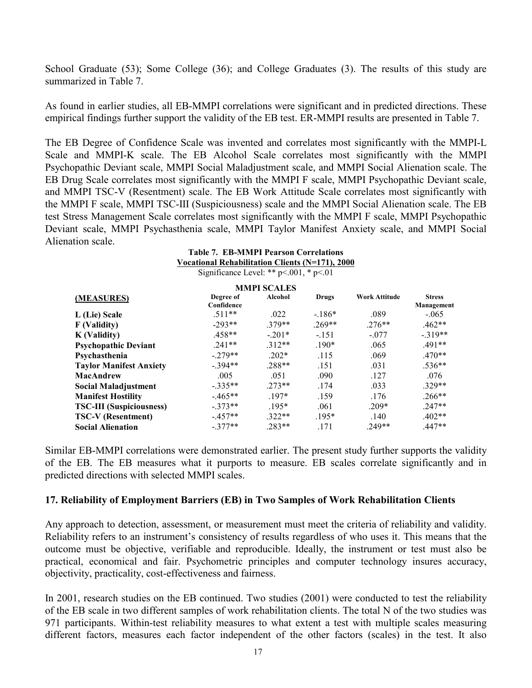School Graduate (53); Some College (36); and College Graduates (3). The results of this study are summarized in Table 7.

As found in earlier studies, all EB-MMPI correlations were significant and in predicted directions. These empirical findings further support the validity of the EB test. ER-MMPI results are presented in Table 7.

The EB Degree of Confidence Scale was invented and correlates most significantly with the MMPI-L Scale and MMPI-K scale. The EB Alcohol Scale correlates most significantly with the MMPI Psychopathic Deviant scale, MMPI Social Maladjustment scale, and MMPI Social Alienation scale. The EB Drug Scale correlates most significantly with the MMPI F scale, MMPI Psychopathic Deviant scale, and MMPI TSC-V (Resentment) scale. The EB Work Attitude Scale correlates most significantly with the MMPI F scale, MMPI TSC-III (Suspiciousness) scale and the MMPI Social Alienation scale. The EB test Stress Management Scale correlates most significantly with the MMPI F scale, MMPI Psychopathic Deviant scale, MMPI Psychasthenia scale, MMPI Taylor Manifest Anxiety scale, and MMPI Social Alienation scale.

|                                 | <b>Table 7. EB-MMPI Pearson Correlations</b>           |                    |              |               |               |
|---------------------------------|--------------------------------------------------------|--------------------|--------------|---------------|---------------|
|                                 | <b>Vocational Rehabilitation Clients (N=171), 2000</b> |                    |              |               |               |
|                                 | Significance Level: ** $p<.001$ , * $p<.01$            |                    |              |               |               |
|                                 |                                                        | <b>MMPI SCALES</b> |              |               |               |
| (MEASURES)                      | Degree of                                              | Alcohol            | <b>Drugs</b> | Work Attitude | <b>Stress</b> |
|                                 | Confidence                                             |                    |              |               | Management    |
| L (Lie) Scale                   | $.511**$                                               | .022               | $-186*$      | .089          | $-.065$       |
| F (Validity)                    | $-293**$                                               | $.379**$           | $.269**$     | $.276**$      | $.462**$      |
| <b>K</b> (Validity)             | $.458**$                                               | $-201*$            | $-151$       | $-.077$       | $-319**$      |
| <b>Psychopathic Deviant</b>     | $.241**$                                               | $.312**$           | $.190*$      | .065          | $.491**$      |
| Psychasthenia                   | $-279**$                                               | $.202*$            | .115         | .069          | $.470**$      |
| <b>Taylor Manifest Anxiety</b>  | $-394**$                                               | $.288**$           | .151         | .031          | $.536**$      |
| <b>MacAndrew</b>                | .005                                                   | .051               | .090         | .127          | .076          |
| <b>Social Maladjustment</b>     | $-.335**$                                              | $273**$            | .174         | .033          | $.329**$      |
| <b>Manifest Hostility</b>       | $-465**$                                               | $197*$             | .159         | .176          | $.266**$      |
| <b>TSC-III</b> (Suspiciousness) | $-.373**$                                              | $.195*$            | .061         | $.209*$       | $.247**$      |
| <b>TSC-V</b> (Resentment)       | $-457**$                                               | $322**$            | $.195*$      | .140          | $.402**$      |
| <b>Social Alienation</b>        | $-377**$                                               | $.283**$           | .171         | $.249**$      | $.447**$      |

Similar EB-MMPI correlations were demonstrated earlier. The present study further supports the validity of the EB. The EB measures what it purports to measure. EB scales correlate significantly and in predicted directions with selected MMPI scales.

#### **17. Reliability of Employment Barriers (EB) in Two Samples of Work Rehabilitation Clients**

Any approach to detection, assessment, or measurement must meet the criteria of reliability and validity. Reliability refers to an instrument's consistency of results regardless of who uses it. This means that the outcome must be objective, verifiable and reproducible. Ideally, the instrument or test must also be practical, economical and fair. Psychometric principles and computer technology insures accuracy, objectivity, practicality, cost-effectiveness and fairness.

In 2001, research studies on the EB continued. Two studies (2001) were conducted to test the reliability of the EB scale in two different samples of work rehabilitation clients. The total N of the two studies was 971 participants. Within-test reliability measures to what extent a test with multiple scales measuring different factors, measures each factor independent of the other factors (scales) in the test. It also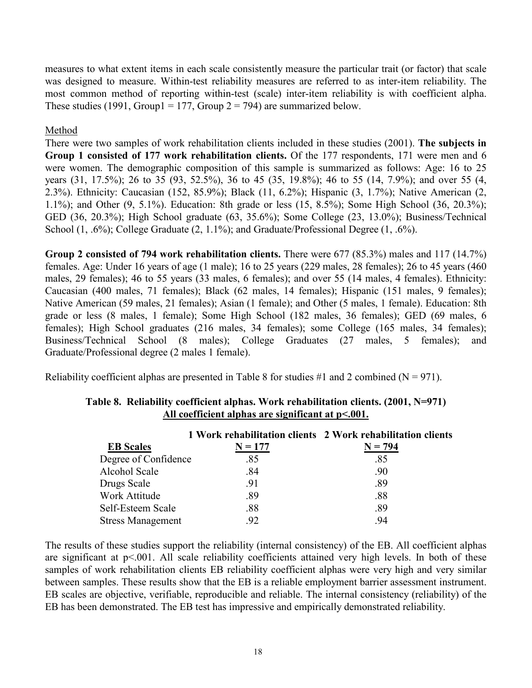measures to what extent items in each scale consistently measure the particular trait (or factor) that scale was designed to measure. Within-test reliability measures are referred to as inter-item reliability. The most common method of reporting within-test (scale) inter-item reliability is with coefficient alpha. These studies (1991, Group1 = 177, Group  $2 = 794$ ) are summarized below.

# Method

There were two samples of work rehabilitation clients included in these studies (2001). **The subjects in Group 1 consisted of 177 work rehabilitation clients.** Of the 177 respondents, 171 were men and 6 were women. The demographic composition of this sample is summarized as follows: Age: 16 to 25 years (31, 17.5%); 26 to 35 (93, 52.5%), 36 to 45 (35, 19.8%); 46 to 55 (14, 7.9%); and over 55 (4, 2.3%). Ethnicity: Caucasian (152, 85.9%); Black (11, 6.2%); Hispanic (3, 1.7%); Native American (2, 1.1%); and Other (9, 5.1%). Education: 8th grade or less (15, 8.5%); Some High School (36, 20.3%); GED (36, 20.3%); High School graduate (63, 35.6%); Some College (23, 13.0%); Business/Technical School (1, .6%); College Graduate (2, 1.1%); and Graduate/Professional Degree (1, .6%).

**Group 2 consisted of 794 work rehabilitation clients.** There were 677 (85.3%) males and 117 (14.7%) females. Age: Under 16 years of age (1 male); 16 to 25 years (229 males, 28 females); 26 to 45 years (460 males, 29 females); 46 to 55 years (33 males, 6 females); and over 55 (14 males, 4 females). Ethnicity: Caucasian (400 males, 71 females); Black (62 males, 14 females); Hispanic (151 males, 9 females); Native American (59 males, 21 females); Asian (1 female); and Other (5 males, 1 female). Education: 8th grade or less (8 males, 1 female); Some High School (182 males, 36 females); GED (69 males, 6 females); High School graduates (216 males, 34 females); some College (165 males, 34 females); Business/Technical School (8 males); College Graduates (27 males, 5 females); and Graduate/Professional degree (2 males 1 female).

Reliability coefficient alphas are presented in Table 8 for studies #1 and 2 combined ( $N = 971$ ).

|                          |           | 1 Work rehabilitation clients 2 Work rehabilitation clients |
|--------------------------|-----------|-------------------------------------------------------------|
| <b>EB</b> Scales         | $N = 177$ | $N = 794$                                                   |
| Degree of Confidence     | .85       | .85                                                         |
| Alcohol Scale            | .84       | .90                                                         |
| Drugs Scale              | .91       | .89                                                         |
| Work Attitude            | .89       | .88                                                         |
| Self-Esteem Scale        | .88       | .89                                                         |
| <b>Stress Management</b> | .92       | 94                                                          |

### **Table 8. Reliability coefficient alphas. Work rehabilitation clients. (2001, N=971) All coefficient alphas are significant at p<.001.**

The results of these studies support the reliability (internal consistency) of the EB. All coefficient alphas are significant at p<.001. All scale reliability coefficients attained very high levels. In both of these samples of work rehabilitation clients EB reliability coefficient alphas were very high and very similar between samples. These results show that the EB is a reliable employment barrier assessment instrument. EB scales are objective, verifiable, reproducible and reliable. The internal consistency (reliability) of the EB has been demonstrated. The EB test has impressive and empirically demonstrated reliability.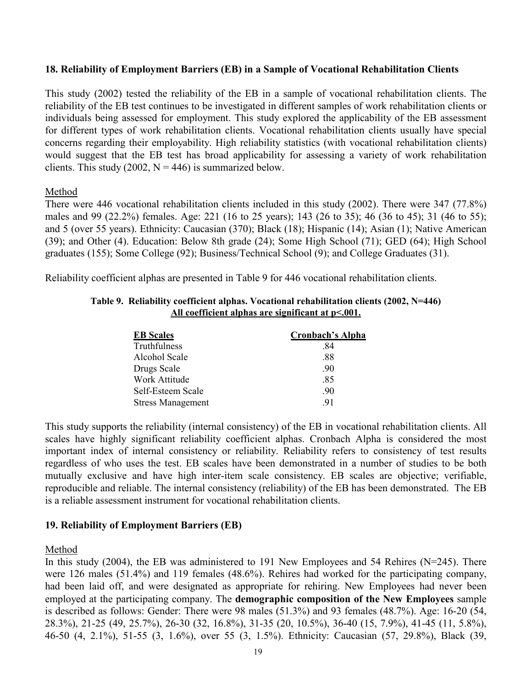#### **18. Reliability of Employment Barriers (EB) in a Sample of Vocational Rehabilitation Clients**

This study (2002) tested the reliability of the EB in a sample of vocational rehabilitation clients. The reliability of the EB test continues to be investigated in different samples of work rehabilitation clients or individuals being assessed for employment. This study explored the applicability of the EB assessment for different types of work rehabilitation clients. Vocational rehabilitation clients usually have special concerns regarding their employability. High reliability statistics (with vocational rehabilitation clients) would suggest that the EB test has broad applicability for assessing a variety of work rehabilitation clients. This study (2002,  $N = 446$ ) is summarized below.

#### Method

There were 446 vocational rehabilitation clients included in this study (2002). There were 347 (77.8%) males and 99 (22.2%) females. Age: 221 (16 to 25 years); 143 (26 to 35); 46 (36 to 45); 31 (46 to 55); and 5 (over 55 years). Ethnicity: Caucasian (370); Black (18); Hispanic (14); Asian (1); Native American (39); and Other (4). Education: Below 8th grade (24); Some High School (71); GED (64); High School graduates (155); Some College (92); Business/Technical School (9); and College Graduates (31).

Reliability coefficient alphas are presented in Table 9 for 446 vocational rehabilitation clients.

| <b>EB</b> Scales         | Cronbach's Alpha |
|--------------------------|------------------|
| Truthfulness             | .84              |
| Alcohol Scale            | .88              |
| Drugs Scale              | .90              |
| Work Attitude            | .85              |
| Self-Esteem Scale        | .90              |
| <b>Stress Management</b> | -91              |

#### **Table 9. Reliability coefficient alphas. Vocational rehabilitation clients (2002, N=446) All coefficient alphas are significant at p<.001.**

This study supports the reliability (internal consistency) of the EB in vocational rehabilitation clients. All scales have highly significant reliability coefficient alphas. Cronbach Alpha is considered the most important index of internal consistency or reliability. Reliability refers to consistency of test results regardless of who uses the test. EB scales have been demonstrated in a number of studies to be both mutually exclusive and have high inter-item scale consistency. EB scales are objective; verifiable, reproducible and reliable. The internal consistency (reliability) of the EB has been demonstrated. The EB is a reliable assessment instrument for vocational rehabilitation clients.

#### **19. Reliability of Employment Barriers (EB)**

#### Method

In this study (2004), the EB was administered to 191 New Employees and 54 Rehires (N=245). There were 126 males (51.4%) and 119 females (48.6%). Rehires had worked for the participating company, had been laid off, and were designated as appropriate for rehiring. New Employees had never been employed at the participating company. The **demographic composition of the New Employees** sample is described as follows: Gender: There were 98 males (51.3%) and 93 females (48.7%). Age: 16-20 (54, 28.3%), 21-25 (49, 25.7%), 26-30 (32, 16.8%), 31-35 (20, 10.5%), 36-40 (15, 7.9%), 41-45 (11, 5.8%), 46-50 (4, 2.1%), 51-55 (3, 1.6%), over 55 (3, 1.5%). Ethnicity: Caucasian (57, 29.8%), Black (39,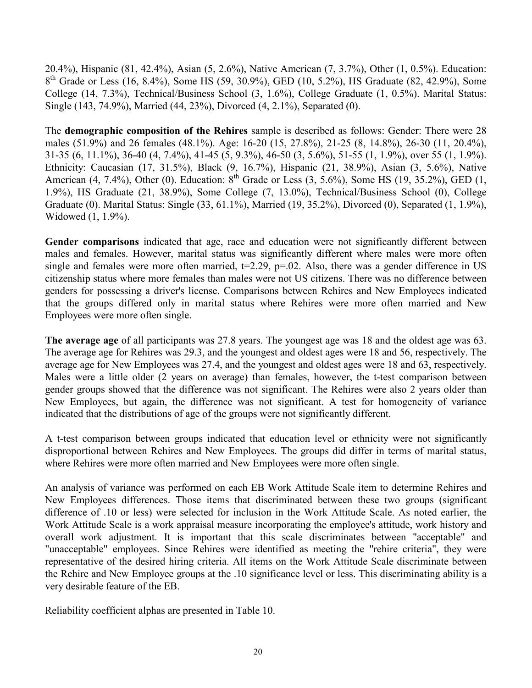20.4%), Hispanic (81, 42.4%), Asian (5, 2.6%), Native American (7, 3.7%), Other (1, 0.5%). Education: 8<sup>th</sup> Grade or Less (16, 8.4%), Some HS (59, 30.9%), GED (10, 5.2%), HS Graduate (82, 42.9%), Some College (14, 7.3%), Technical/Business School (3, 1.6%), College Graduate (1, 0.5%). Marital Status: Single (143, 74.9%), Married (44, 23%), Divorced (4, 2.1%), Separated (0).

The **demographic composition of the Rehires** sample is described as follows: Gender: There were 28 males (51.9%) and 26 females (48.1%). Age: 16-20 (15, 27.8%), 21-25 (8, 14.8%), 26-30 (11, 20.4%), 31-35 (6, 11.1%), 36-40 (4, 7.4%), 41-45 (5, 9.3%), 46-50 (3, 5.6%), 51-55 (1, 1.9%), over 55 (1, 1.9%). Ethnicity: Caucasian (17, 31.5%), Black (9, 16.7%), Hispanic (21, 38.9%), Asian (3, 5.6%), Native American (4, 7.4%), Other (0). Education:  $8^{th}$  Grade or Less (3, 5.6%), Some HS (19, 35.2%), GED (1, 1.9%), HS Graduate (21, 38.9%), Some College (7, 13.0%), Technical/Business School (0), College Graduate (0). Marital Status: Single (33, 61.1%), Married (19, 35.2%), Divorced (0), Separated (1, 1.9%), Widowed (1, 1.9%).

**Gender comparisons** indicated that age, race and education were not significantly different between males and females. However, marital status was significantly different where males were more often single and females were more often married,  $t=2.29$ ,  $p=.02$ . Also, there was a gender difference in US citizenship status where more females than males were not US citizens. There was no difference between genders for possessing a driver's license. Comparisons between Rehires and New Employees indicated that the groups differed only in marital status where Rehires were more often married and New Employees were more often single.

**The average age** of all participants was 27.8 years. The youngest age was 18 and the oldest age was 63. The average age for Rehires was 29.3, and the youngest and oldest ages were 18 and 56, respectively. The average age for New Employees was 27.4, and the youngest and oldest ages were 18 and 63, respectively. Males were a little older (2 years on average) than females, however, the t-test comparison between gender groups showed that the difference was not significant. The Rehires were also 2 years older than New Employees, but again, the difference was not significant. A test for homogeneity of variance indicated that the distributions of age of the groups were not significantly different.

A t-test comparison between groups indicated that education level or ethnicity were not significantly disproportional between Rehires and New Employees. The groups did differ in terms of marital status, where Rehires were more often married and New Employees were more often single.

An analysis of variance was performed on each EB Work Attitude Scale item to determine Rehires and New Employees differences. Those items that discriminated between these two groups (significant difference of .10 or less) were selected for inclusion in the Work Attitude Scale. As noted earlier, the Work Attitude Scale is a work appraisal measure incorporating the employee's attitude, work history and overall work adjustment. It is important that this scale discriminates between "acceptable" and "unacceptable" employees. Since Rehires were identified as meeting the "rehire criteria", they were representative of the desired hiring criteria. All items on the Work Attitude Scale discriminate between the Rehire and New Employee groups at the .10 significance level or less. This discriminating ability is a very desirable feature of the EB.

Reliability coefficient alphas are presented in Table 10.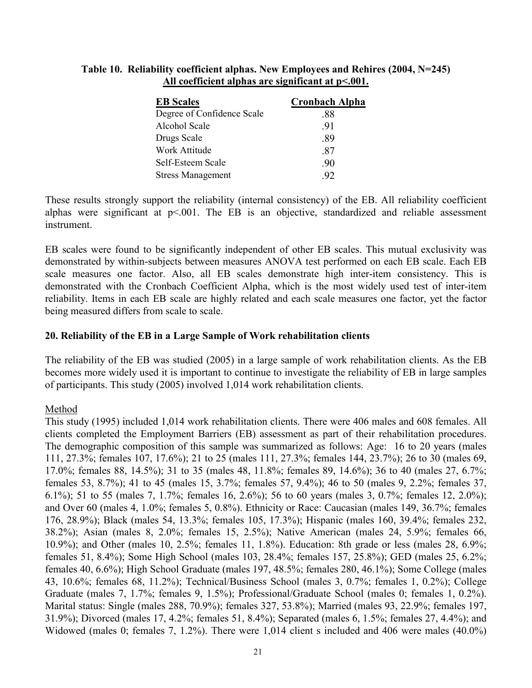#### **Table 10. Reliability coefficient alphas. New Employees and Rehires (2004, N=245) All coefficient alphas are significant at p<.001.**

| <b>EB</b> Scales           | <b>Cronbach Alpha</b> |
|----------------------------|-----------------------|
| Degree of Confidence Scale | .88                   |
| Alcohol Scale              | -91                   |
| Drugs Scale                | .89                   |
| Work Attitude              | .87                   |
| Self-Esteem Scale          | .90                   |
| <b>Stress Management</b>   | 92                    |

These results strongly support the reliability (internal consistency) of the EB. All reliability coefficient alphas were significant at  $p \le 0.001$ . The EB is an objective, standardized and reliable assessment instrument.

EB scales were found to be significantly independent of other EB scales. This mutual exclusivity was demonstrated by within-subjects between measures ANOVA test performed on each EB scale. Each EB scale measures one factor. Also, all EB scales demonstrate high inter-item consistency. This is demonstrated with the Cronbach Coefficient Alpha, which is the most widely used test of inter-item reliability. Items in each EB scale are highly related and each scale measures one factor, yet the factor being measured differs from scale to scale.

### **20. Reliability of the EB in a Large Sample of Work rehabilitation clients**

The reliability of the EB was studied (2005) in a large sample of work rehabilitation clients. As the EB becomes more widely used it is important to continue to investigate the reliability of EB in large samples of participants. This study (2005) involved 1,014 work rehabilitation clients.

# Method

This study (1995) included 1,014 work rehabilitation clients. There were 406 males and 608 females. All clients completed the Employment Barriers (EB) assessment as part of their rehabilitation procedures. The demographic composition of this sample was summarized as follows: Age: 16 to 20 years (males 111, 27.3%; females 107, 17.6%); 21 to 25 (males 111, 27.3%; females 144, 23.7%); 26 to 30 (males 69, 17.0%; females 88, 14.5%); 31 to 35 (males 48, 11.8%; females 89, 14.6%); 36 to 40 (males 27, 6.7%; females 53, 8.7%); 41 to 45 (males 15, 3.7%; females 57, 9.4%); 46 to 50 (males 9, 2.2%; females 37, 6.1%); 51 to 55 (males 7, 1.7%; females 16, 2.6%); 56 to 60 years (males 3, 0.7%; females 12, 2.0%); and Over 60 (males 4, 1.0%; females 5, 0.8%). Ethnicity or Race: Caucasian (males 149, 36.7%; females 176, 28.9%); Black (males 54, 13.3%; females 105, 17.3%); Hispanic (males 160, 39.4%; females 232, 38.2%); Asian (males 8, 2.0%; females 15, 2.5%); Native American (males 24, 5.9%; females 66, 10.9%); and Other (males 10, 2.5%; females 11, 1.8%). Education: 8th grade or less (males 28, 6.9%; females 51, 8.4%); Some High School (males 103, 28.4%; females 157, 25.8%); GED (males 25, 6.2%; females 40, 6.6%); High School Graduate (males 197, 48.5%; females 280, 46.1%); Some College (males 43, 10.6%; females 68, 11.2%); Technical/Business School (males 3, 0.7%; females 1, 0.2%); College Graduate (males 7, 1.7%; females 9, 1.5%); Professional/Graduate School (males 0; females 1, 0.2%). Marital status: Single (males 288, 70.9%); females 327, 53.8%); Married (males 93, 22.9%; females 197, 31.9%); Divorced (males 17, 4.2%; females 51, 8.4%); Separated (males 6, 1.5%; females 27, 4.4%); and Widowed (males 0; females 7, 1.2%). There were 1,014 client s included and 406 were males (40.0%)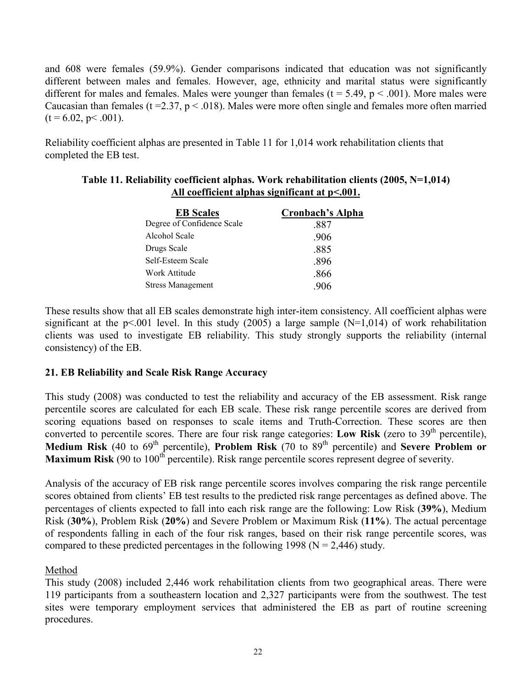and 608 were females (59.9%). Gender comparisons indicated that education was not significantly different between males and females. However, age, ethnicity and marital status were significantly different for males and females. Males were younger than females ( $t = 5.49$ ,  $p < .001$ ). More males were Caucasian than females ( $t = 2.37$ ,  $p < .018$ ). Males were more often single and females more often married  $(t = 6.02, p < .001)$ .

Reliability coefficient alphas are presented in Table 11 for 1,014 work rehabilitation clients that completed the EB test.

| Table 11. Reliability coefficient alphas. Work rehabilitation clients (2005, N=1,014) |
|---------------------------------------------------------------------------------------|
| All coefficient alphas significant at $p<.001$ .                                      |

| Cronbach's Alpha |
|------------------|
| .887             |
| .906             |
| .885             |
| .896             |
| .866             |
| -906             |
|                  |

These results show that all EB scales demonstrate high inter-item consistency. All coefficient alphas were significant at the  $p<.001$  level. In this study (2005) a large sample (N=1,014) of work rehabilitation clients was used to investigate EB reliability. This study strongly supports the reliability (internal consistency) of the EB.

# **21. EB Reliability and Scale Risk Range Accuracy**

This study (2008) was conducted to test the reliability and accuracy of the EB assessment. Risk range percentile scores are calculated for each EB scale. These risk range percentile scores are derived from scoring equations based on responses to scale items and Truth-Correction. These scores are then converted to percentile scores. There are four risk range categories: **Low Risk** (zero to  $39<sup>th</sup>$  percentile), **Medium Risk** (40 to 69th percentile), **Problem Risk** (70 to 89th percentile) and **Severe Problem or Maximum Risk** (90 to 100<sup>th</sup> percentile). Risk range percentile scores represent degree of severity.

Analysis of the accuracy of EB risk range percentile scores involves comparing the risk range percentile scores obtained from clients' EB test results to the predicted risk range percentages as defined above. The percentages of clients expected to fall into each risk range are the following: Low Risk (**39%**), Medium Risk (**30%**), Problem Risk (**20%**) and Severe Problem or Maximum Risk (**11%**). The actual percentage of respondents falling in each of the four risk ranges, based on their risk range percentile scores, was compared to these predicted percentages in the following 1998 ( $N = 2,446$ ) study.

# Method

This study (2008) included 2,446 work rehabilitation clients from two geographical areas. There were 119 participants from a southeastern location and 2,327 participants were from the southwest. The test sites were temporary employment services that administered the EB as part of routine screening procedures.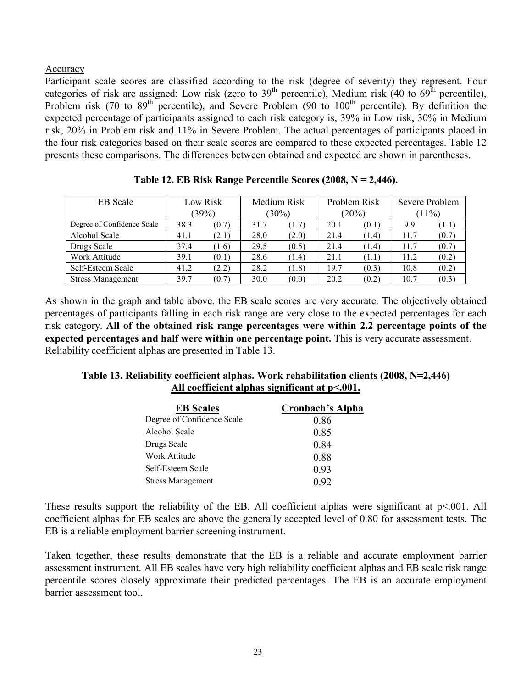### Accuracy

Participant scale scores are classified according to the risk (degree of severity) they represent. Four categories of risk are assigned: Low risk (zero to  $39<sup>th</sup>$  percentile), Medium risk (40 to  $69<sup>th</sup>$  percentile), Problem risk (70 to  $89<sup>th</sup>$  percentile), and Severe Problem (90 to  $100<sup>th</sup>$  percentile). By definition the expected percentage of participants assigned to each risk category is, 39% in Low risk, 30% in Medium risk, 20% in Problem risk and 11% in Severe Problem. The actual percentages of participants placed in the four risk categories based on their scale scores are compared to these expected percentages. Table 12 presents these comparisons. The differences between obtained and expected are shown in parentheses.

| <b>EB</b> Scale            | Low Risk |       | Medium Risk |       | Problem Risk |       | Severe Problem |          |
|----------------------------|----------|-------|-------------|-------|--------------|-------|----------------|----------|
|                            | (39%)    |       | $(30\%)$    |       |              | (20%) |                | $(11\%)$ |
| Degree of Confidence Scale | 38.3     | (0.7) | 31.7        | (1.7) | 20.1         | (0.1) | 9.9            | (1.1     |
| Alcohol Scale              | 41.1     | (2.1) | 28.0        | (2.0) | 21.4         | (1.4) | 11.7           | (0.7)    |
| Drugs Scale                | 37.4     | (1.6) | 29.5        | (0.5) | 21.4         | (1.4) | 11.7           | (0.7)    |
| Work Attitude              | 39.1     | (0.1) | 28.6        | (1.4) | 21.1         | (1.1) | 11.2           | (0.2)    |
| Self-Esteem Scale          | 41.2     | (2.2) | 28.2        | (1.8) | 19.7         | (0.3) | 10.8           | (0.2)    |
| <b>Stress Management</b>   | 39.7     | (0.7) | 30.0        | (0.0) | 20.2         | (0.2) | 10.7           | (0.3)    |

As shown in the graph and table above, the EB scale scores are very accurate. The objectively obtained percentages of participants falling in each risk range are very close to the expected percentages for each risk category. **All of the obtained risk range percentages were within 2.2 percentage points of the expected percentages and half were within one percentage point.** This is very accurate assessment. Reliability coefficient alphas are presented in Table 13.

### **Table 13. Reliability coefficient alphas. Work rehabilitation clients (2008, N=2,446) All coefficient alphas significant at p<.001.**

| <b>EB</b> Scales           | Cronbach's Alpha |
|----------------------------|------------------|
| Degree of Confidence Scale | 0.86             |
| Alcohol Scale              | 0.85             |
| Drugs Scale                | 0.84             |
| Work Attitude              | 0.88             |
| Self-Esteem Scale          | 0.93             |
| <b>Stress Management</b>   | 0.92             |

These results support the reliability of the EB. All coefficient alphas were significant at  $p<.001$ . All coefficient alphas for EB scales are above the generally accepted level of 0.80 for assessment tests. The EB is a reliable employment barrier screening instrument.

Taken together, these results demonstrate that the EB is a reliable and accurate employment barrier assessment instrument. All EB scales have very high reliability coefficient alphas and EB scale risk range percentile scores closely approximate their predicted percentages. The EB is an accurate employment barrier assessment tool.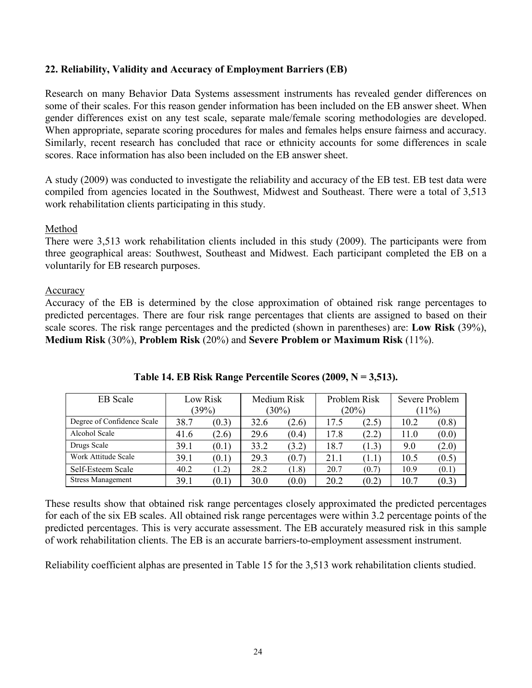## **22. Reliability, Validity and Accuracy of Employment Barriers (EB)**

Research on many Behavior Data Systems assessment instruments has revealed gender differences on some of their scales. For this reason gender information has been included on the EB answer sheet. When gender differences exist on any test scale, separate male/female scoring methodologies are developed. When appropriate, separate scoring procedures for males and females helps ensure fairness and accuracy. Similarly, recent research has concluded that race or ethnicity accounts for some differences in scale scores. Race information has also been included on the EB answer sheet.

A study (2009) was conducted to investigate the reliability and accuracy of the EB test. EB test data were compiled from agencies located in the Southwest, Midwest and Southeast. There were a total of 3,513 work rehabilitation clients participating in this study.

#### Method

There were 3,513 work rehabilitation clients included in this study (2009). The participants were from three geographical areas: Southwest, Southeast and Midwest. Each participant completed the EB on a voluntarily for EB research purposes.

#### Accuracy

Accuracy of the EB is determined by the close approximation of obtained risk range percentages to predicted percentages. There are four risk range percentages that clients are assigned to based on their scale scores. The risk range percentages and the predicted (shown in parentheses) are: **Low Risk** (39%), **Medium Risk** (30%), **Problem Risk** (20%) and **Severe Problem or Maximum Risk** (11%).

| <b>EB</b> Scale            | Low Risk |       | Medium Risk |       | Problem Risk |       | Severe Problem |          |
|----------------------------|----------|-------|-------------|-------|--------------|-------|----------------|----------|
|                            | (39%)    |       | (30%)       |       |              | (20%) |                | $(11\%)$ |
| Degree of Confidence Scale | 38.7     | (0.3) | 32.6        | (2.6) | 17.5         | (2.5) | 10.2           | (0.8)    |
| Alcohol Scale              | 41.6     | (2.6) | 29.6        | (0.4) | 17.8         | (2.2) | 11.0           | (0.0)    |
| Drugs Scale                | 39.1     | (0.1) | 33.2        | (3.2) | 18.7         | (1.3) | 9.0            | (2.0)    |
| Work Attitude Scale        | 39.1     | (0.1) | 29.3        | (0.7) | 21.1         | (1.1) | 10.5           | (0.5)    |
| Self-Esteem Scale          | 40.2     | (1.2) | 28.2        | (1.8) | 20.7         | (0.7) | 10.9           | (0.1)    |
| <b>Stress Management</b>   | 39.1     | (0.1) | 30.0        | (0.0) | 20.2         | (0.2) | 10.7           | (0.3)    |

**Table 14. EB Risk Range Percentile Scores (2009, N = 3,513).** 

These results show that obtained risk range percentages closely approximated the predicted percentages for each of the six EB scales. All obtained risk range percentages were within 3.2 percentage points of the predicted percentages. This is very accurate assessment. The EB accurately measured risk in this sample of work rehabilitation clients. The EB is an accurate barriers-to-employment assessment instrument.

Reliability coefficient alphas are presented in Table 15 for the 3,513 work rehabilitation clients studied.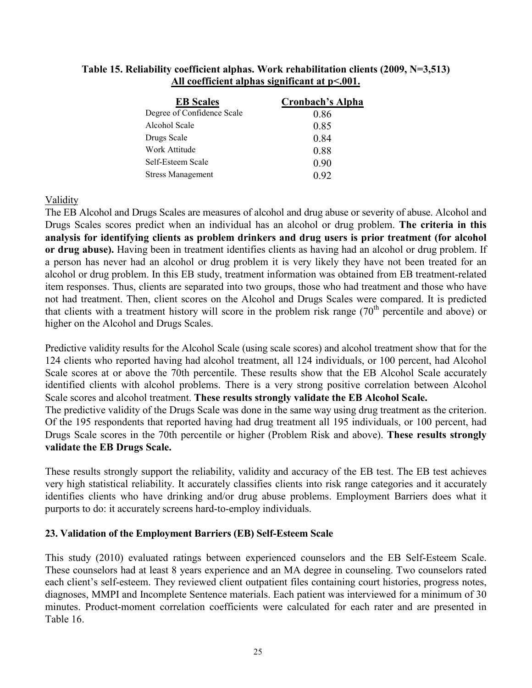## **Table 15. Reliability coefficient alphas. Work rehabilitation clients (2009, N=3,513) All coefficient alphas significant at p<.001.**

| <b>Cronbach's Alpha</b> |
|-------------------------|
| 0.86                    |
| 0.85                    |
| 0.84                    |
| 0.88                    |
| 0.90                    |
| 0.92                    |
|                         |

# Validity

The EB Alcohol and Drugs Scales are measures of alcohol and drug abuse or severity of abuse. Alcohol and Drugs Scales scores predict when an individual has an alcohol or drug problem. **The criteria in this analysis for identifying clients as problem drinkers and drug users is prior treatment (for alcohol or drug abuse).** Having been in treatment identifies clients as having had an alcohol or drug problem. If a person has never had an alcohol or drug problem it is very likely they have not been treated for an alcohol or drug problem. In this EB study, treatment information was obtained from EB treatment-related item responses. Thus, clients are separated into two groups, those who had treatment and those who have not had treatment. Then, client scores on the Alcohol and Drugs Scales were compared. It is predicted that clients with a treatment history will score in the problem risk range  $(70<sup>th</sup>$  percentile and above) or higher on the Alcohol and Drugs Scales.

Predictive validity results for the Alcohol Scale (using scale scores) and alcohol treatment show that for the 124 clients who reported having had alcohol treatment, all 124 individuals, or 100 percent, had Alcohol Scale scores at or above the 70th percentile. These results show that the EB Alcohol Scale accurately identified clients with alcohol problems. There is a very strong positive correlation between Alcohol Scale scores and alcohol treatment. **These results strongly validate the EB Alcohol Scale.**

The predictive validity of the Drugs Scale was done in the same way using drug treatment as the criterion. Of the 195 respondents that reported having had drug treatment all 195 individuals, or 100 percent, had Drugs Scale scores in the 70th percentile or higher (Problem Risk and above). **These results strongly validate the EB Drugs Scale.**

These results strongly support the reliability, validity and accuracy of the EB test. The EB test achieves very high statistical reliability. It accurately classifies clients into risk range categories and it accurately identifies clients who have drinking and/or drug abuse problems. Employment Barriers does what it purports to do: it accurately screens hard-to-employ individuals.

# **23. Validation of the Employment Barriers (EB) Self-Esteem Scale**

This study (2010) evaluated ratings between experienced counselors and the EB Self-Esteem Scale. These counselors had at least 8 years experience and an MA degree in counseling. Two counselors rated each client's self-esteem. They reviewed client outpatient files containing court histories, progress notes, diagnoses, MMPI and Incomplete Sentence materials. Each patient was interviewed for a minimum of 30 minutes. Product-moment correlation coefficients were calculated for each rater and are presented in Table 16.